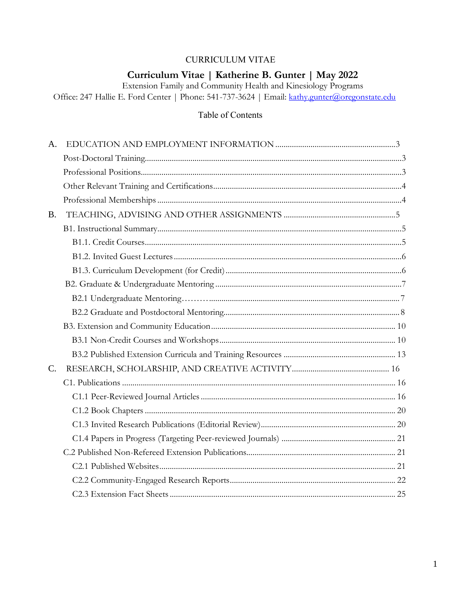## **CURRICULUM VITAE**

## Curriculum Vitae | Katherine B. Gunter | May 2022

Extension Family and Community Health and Kinesiology Programs<br>Office: 247 Hallie E. Ford Center | Phone: 541-737-3624 | Email: kathy.gunter@oregonstate.edu

## Table of Contents

| A <sub>1</sub> |  |
|----------------|--|
|                |  |
|                |  |
|                |  |
|                |  |
| <b>B.</b>      |  |
|                |  |
|                |  |
|                |  |
|                |  |
|                |  |
|                |  |
|                |  |
|                |  |
|                |  |
|                |  |
| $C_{\cdot}$    |  |
|                |  |
|                |  |
|                |  |
|                |  |
|                |  |
|                |  |
|                |  |
|                |  |
|                |  |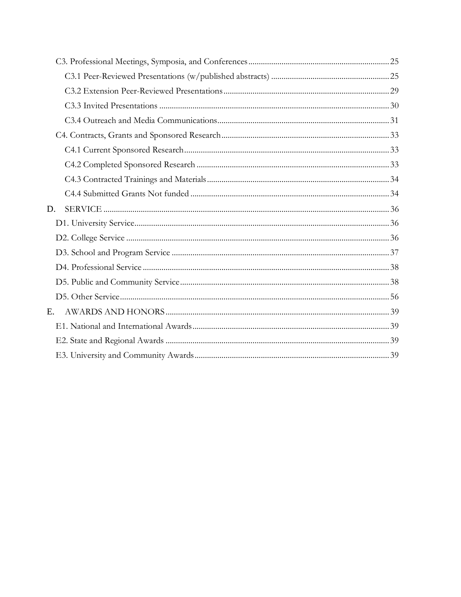| D. |  |
|----|--|
|    |  |
|    |  |
|    |  |
|    |  |
|    |  |
|    |  |
| Е. |  |
|    |  |
|    |  |
|    |  |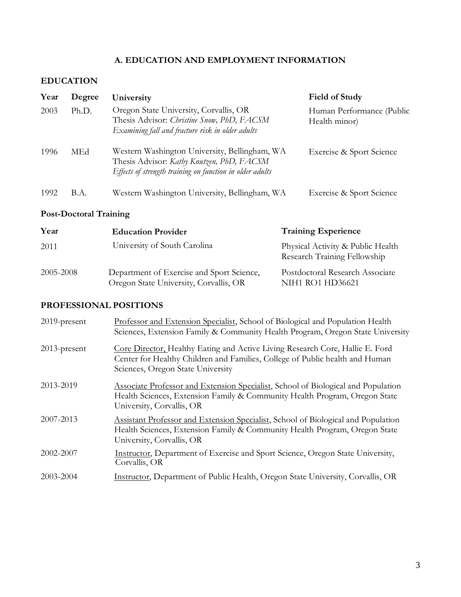## **A. EDUCATION AND EMPLOYMENT INFORMATION**

## **EDUCATION**

| Year | Degree | University                                                                                                                                             | <b>Field of Study</b>                      |
|------|--------|--------------------------------------------------------------------------------------------------------------------------------------------------------|--------------------------------------------|
| 2003 | Ph.D.  | Oregon State University, Corvallis, OR<br>Thesis Advisor: Christine Snow, PhD, FACSM<br>Examining fall and fracture risk in older adults               | Human Performance (Public<br>Health minor) |
| 1996 | MEd    | Western Washington University, Bellingham, WA<br>Thesis Advisor: Kathy Knutzen, PhD, FACSM<br>Effects of strength training on function in older adults | Exercise & Sport Science                   |
| 1992 | B.A.   | Western Washington University, Bellingham, WA                                                                                                          | Exercise & Sport Science                   |

## **Post-Doctoral Training**

| Year      | <b>Education Provider</b>                                                           | <b>Training Experience</b>                                        |
|-----------|-------------------------------------------------------------------------------------|-------------------------------------------------------------------|
| 2011      | University of South Carolina                                                        | Physical Activity & Public Health<br>Research Training Fellowship |
| 2005-2008 | Department of Exercise and Sport Science,<br>Oregon State University, Corvallis, OR | Postdoctoral Research Associate<br><b>NIH1 RO1 HD36621</b>        |

## **PROFESSIONAL POSITIONS**

| 2019-present    | Professor and Extension Specialist, School of Biological and Population Health<br>Sciences, Extension Family & Community Health Program, Oregon State University                                   |
|-----------------|----------------------------------------------------------------------------------------------------------------------------------------------------------------------------------------------------|
| $2013$ -present | Core Director, Healthy Eating and Active Living Research Core, Hallie E. Ford<br>Center for Healthy Children and Families, College of Public health and Human<br>Sciences, Oregon State University |
| 2013-2019       | Associate Professor and Extension Specialist, School of Biological and Population<br>Health Sciences, Extension Family & Community Health Program, Oregon State<br>University, Corvallis, OR       |
| 2007-2013       | Assistant Professor and Extension Specialist, School of Biological and Population<br>Health Sciences, Extension Family & Community Health Program, Oregon State<br>University, Corvallis, OR       |
| 2002-2007       | Instructor, Department of Exercise and Sport Science, Oregon State University,<br>Corvallis, OR                                                                                                    |
| 2003-2004       | Instructor, Department of Public Health, Oregon State University, Corvallis, OR                                                                                                                    |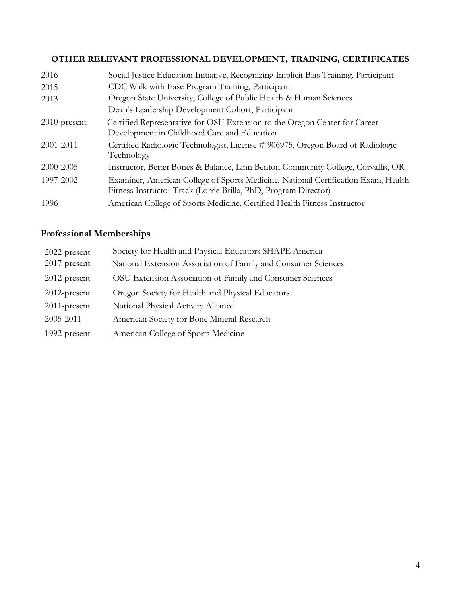# **OTHER RELEVANT PROFESSIONAL DEVELOPMENT, TRAINING, CERTIFICATES**

| 2016            | Social Justice Education Initiative, Recognizing Implicit Bias Training, Participant                                                                  |
|-----------------|-------------------------------------------------------------------------------------------------------------------------------------------------------|
| 2015            | CDC Walk with Ease Program Training, Participant                                                                                                      |
| 2013            | Oregon State University, College of Public Health & Human Sciences                                                                                    |
|                 | Dean's Leadership Development Cohort, Participant                                                                                                     |
| $2010$ -present | Certified Representative for OSU Extension to the Oregon Center for Career<br>Development in Childhood Care and Education                             |
| 2001-2011       | Certified Radiologic Technologist, License # 906975, Oregon Board of Radiologic<br>Technology                                                         |
| 2000-2005       | Instructor, Better Bones & Balance, Linn Benton Community College, Corvallis, OR                                                                      |
| 1997-2002       | Examiner, American College of Sports Medicine, National Certification Exam, Health<br>Fitness Instructor Track (Lorrie Brilla, PhD, Program Director) |
| 1996            | American College of Sports Medicine, Certified Health Fitness Instructor                                                                              |

# **Professional Memberships**

| 2022-present    | Society for Health and Physical Educators SHAPE America        |
|-----------------|----------------------------------------------------------------|
| $2017$ -present | National Extension Association of Family and Consumer Sciences |
| $2012$ -present | OSU Extension Association of Family and Consumer Sciences      |
| $2012$ -present | Oregon Society for Health and Physical Educators               |
| $2011$ -present | National Physical Activity Alliance                            |
| 2005-2011       | American Society for Bone Mineral Research                     |
| 1992-present    | American College of Sports Medicine                            |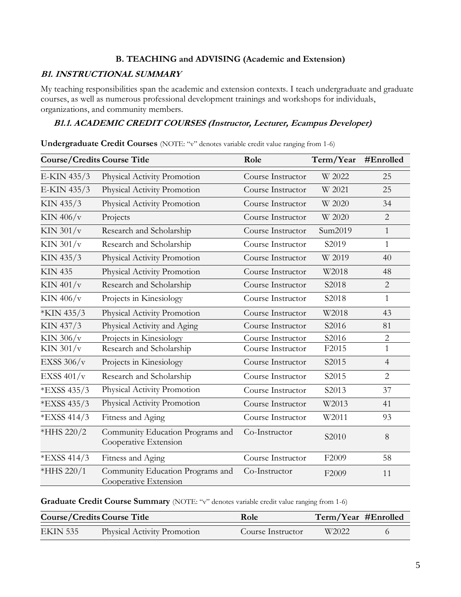## **B. TEACHING and ADVISING (Academic and Extension)**

#### **B1. INSTRUCTIONAL SUMMARY**

My teaching responsibilities span the academic and extension contexts. I teach undergraduate and graduate courses, as well as numerous professional development trainings and workshops for individuals, organizations, and community members.

## **B1.1. ACADEMIC CREDIT COURSES (Instructor, Lecturer, Ecampus Developer)**

| <b>Course/Credits Course Title</b>                                      |                             | Role              | Term/Year | #Enrolled      |
|-------------------------------------------------------------------------|-----------------------------|-------------------|-----------|----------------|
| E-KIN 435/3                                                             | Physical Activity Promotion | Course Instructor | W 2022    | 25             |
| E-KIN 435/3                                                             | Physical Activity Promotion | Course Instructor | W 2021    | 25             |
| KIN 435/3                                                               | Physical Activity Promotion | Course Instructor | W 2020    | 34             |
| KIN $406/v$                                                             | Projects                    | Course Instructor | W 2020    | $\overline{2}$ |
| KIN $301/v$                                                             | Research and Scholarship    | Course Instructor | Sum2019   | $\mathbf{1}$   |
| KIN $301/v$                                                             | Research and Scholarship    | Course Instructor | S2019     | $\mathbf{1}$   |
| KIN 435/3                                                               | Physical Activity Promotion | Course Instructor | W 2019    | 40             |
| <b>KIN 435</b>                                                          | Physical Activity Promotion | Course Instructor | W2018     | 48             |
| KIN $401/v$                                                             | Research and Scholarship    | Course Instructor | S2018     | $\overline{2}$ |
| KIN 406/v                                                               | Projects in Kinesiology     | Course Instructor | S2018     | 1              |
| *KIN 435/3                                                              | Physical Activity Promotion | Course Instructor | W2018     | 43             |
| KIN 437/3                                                               | Physical Activity and Aging | Course Instructor | S2016     | 81             |
| KIN $306/v$                                                             | Projects in Kinesiology     | Course Instructor | S2016     | $\overline{2}$ |
| KIN $301/v$                                                             | Research and Scholarship    | Course Instructor | F2015     | 1              |
| Projects in Kinesiology<br>EXSS $306/v$                                 |                             | Course Instructor | S2015     | $\overline{4}$ |
| EXSS $401/v$                                                            | Research and Scholarship    | Course Instructor | S2015     | $\overline{2}$ |
| *EXSS 435/3                                                             | Physical Activity Promotion | Course Instructor | S2013     | 37             |
| *EXSS 435/3                                                             | Physical Activity Promotion | Course Instructor | W2013     | 41             |
| *EXSS 414/3                                                             | Fitness and Aging           | Course Instructor | W2011     | 93             |
| *HHS 220/2<br>Community Education Programs and<br>Cooperative Extension |                             | Co-Instructor     | S2010     | 8              |
| *EXSS 414/3                                                             | Fitness and Aging           | Course Instructor | F2009     | 58             |
| Community Education Programs and<br>*HHS 220/1<br>Cooperative Extension |                             | Co-Instructor     | F2009     | 11             |

**Undergraduate Credit Courses** (NOTE: "v" denotes variable credit value ranging from 1-6)

Graduate Credit Course Summary (NOTE: "v" denotes variable credit value ranging from 1-6)

| <b>Course/Credits Course Title</b> |                             | Role              | Term/Year #Enrolled |  |
|------------------------------------|-----------------------------|-------------------|---------------------|--|
| EKIN 535                           | Physical Activity Promotion | Course Instructor | W <sub>2022</sub>   |  |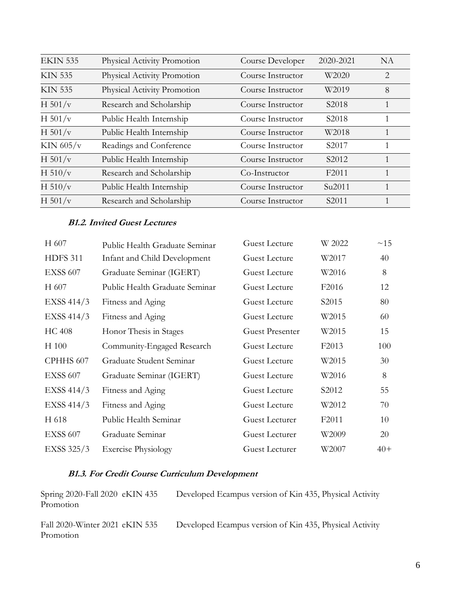| <b>EKIN 535</b> | Physical Activity Promotion | Course Developer  | 2020-2021          | <b>NA</b>    |
|-----------------|-----------------------------|-------------------|--------------------|--------------|
| <b>KIN 535</b>  | Physical Activity Promotion | Course Instructor | W2020              | 2            |
| <b>KIN 535</b>  | Physical Activity Promotion | Course Instructor | W2019              | 8            |
| H $501/v$       | Research and Scholarship    | Course Instructor | S <sub>2018</sub>  | 1            |
| H $501/v$       | Public Health Internship    | Course Instructor | S <sub>2018</sub>  | 1            |
| H $501/v$       | Public Health Internship    | Course Instructor | W2018              | 1            |
| KIN $605/v$     | Readings and Conference     | Course Instructor | S <sub>2017</sub>  | 1            |
| H $501/v$       | Public Health Internship    | Course Instructor | S <sub>2012</sub>  | 1            |
| H $510/v$       | Research and Scholarship    | Co-Instructor     | F <sub>2011</sub>  | $\mathbf{1}$ |
| H $510/v$       | Public Health Internship    | Course Instructor | Su <sub>2011</sub> | 1            |
| H $501/v$       | Research and Scholarship    | Course Instructor | S <sub>2011</sub>  | 1            |

#### **B1.2. Invited Guest Lectures**

| H 607             | Public Health Graduate Seminar | <b>Guest Lecture</b>  | W 2022            | ~15   |
|-------------------|--------------------------------|-----------------------|-------------------|-------|
| <b>HDFS 311</b>   | Infant and Child Development   | Guest Lecture         | W2017             | 40    |
| <b>EXSS 607</b>   | Graduate Seminar (IGERT)       | Guest Lecture         | W2016             | 8     |
| H 607             | Public Health Graduate Seminar | <b>Guest Lecture</b>  | F <sub>2016</sub> | 12    |
| EXSS 414/3        | Fitness and Aging              | Guest Lecture         | S2015             | 80    |
| <b>EXSS 414/3</b> | Fitness and Aging              | <b>Guest Lecture</b>  | W2015             | 60    |
| <b>HC 408</b>     | Honor Thesis in Stages         | Guest Presenter       | W2015             | 15    |
| H 100             | Community-Engaged Research     | Guest Lecture         | F <sub>2013</sub> | 100   |
| CPHHS 607         | Graduate Student Seminar       | <b>Guest Lecture</b>  | W2015             | 30    |
| <b>EXSS 607</b>   | Graduate Seminar (IGERT)       | Guest Lecture         | W2016             | 8     |
| <b>EXSS 414/3</b> | Fitness and Aging              | <b>Guest Lecture</b>  | S <sub>2012</sub> | 55    |
| <b>EXSS 414/3</b> | Fitness and Aging              | Guest Lecture         | W2012             | 70    |
| H 618             | Public Health Seminar          | Guest Lecturer        | F <sub>2011</sub> | 10    |
| <b>EXSS 607</b>   | Graduate Seminar               | Guest Lecturer        | W2009             | 20    |
| EXSS 325/3        | <b>Exercise Physiology</b>     | <b>Guest Lecturer</b> | W2007             | $40+$ |
|                   |                                |                       |                   |       |

## **B1.3. For Credit Course Curriculum Development**

Spring 2020-Fall 2020 eKIN 435 Developed Ecampus version of Kin 435, Physical Activity Promotion

Fall 2020-Winter 2021 eKIN 535 Developed Ecampus version of Kin 435, Physical Activity Promotion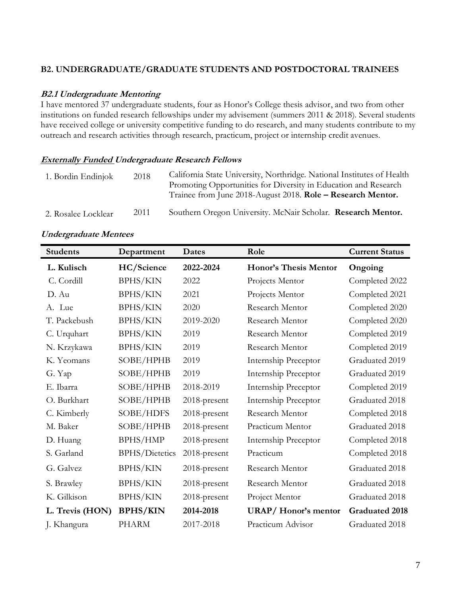#### **B2. UNDERGRADUATE/GRADUATE STUDENTS AND POSTDOCTORAL TRAINEES**

#### **B2.1 Undergraduate Mentoring**

I have mentored 37 undergraduate students, four as Honor's College thesis advisor, and two from other institutions on funded research fellowships under my advisement (summers 2011 & 2018). Several students have received college or university competitive funding to do research, and many students contribute to my outreach and research activities through research, practicum, project or internship credit avenues.

#### **Externally Funded Undergraduate Research Fellows**

| 1. Bordin Endinjok  | 2018 | California State University, Northridge. National Institutes of Health<br>Promoting Opportunities for Diversity in Education and Research<br>Trainee from June 2018-August 2018. Role – Research Mentor. |
|---------------------|------|----------------------------------------------------------------------------------------------------------------------------------------------------------------------------------------------------------|
| 2. Rosalee Locklear | 2011 | Southern Oregon University. McNair Scholar. Research Mentor.                                                                                                                                             |

#### **Undergraduate Mentees**

| <b>Students</b> | Department            | Dates        | Role                         | <b>Current Status</b> |
|-----------------|-----------------------|--------------|------------------------------|-----------------------|
| L. Kulisch      | HC/Science            | 2022-2024    | <b>Honor's Thesis Mentor</b> | Ongoing               |
| C. Cordill      | <b>BPHS/KIN</b>       | 2022         | Projects Mentor              | Completed 2022        |
| D. Au           | <b>BPHS/KIN</b>       | 2021         | Projects Mentor              | Completed 2021        |
| A. Lue          | <b>BPHS/KIN</b>       | 2020         | Research Mentor              | Completed 2020        |
| T. Packebush    | <b>BPHS/KIN</b>       | 2019-2020    | Research Mentor              | Completed 2020        |
| C. Urquhart     | <b>BPHS/KIN</b>       | 2019         | Research Mentor              | Completed 2019        |
| N. Krzykawa     | <b>BPHS/KIN</b>       | 2019         | Research Mentor              | Completed 2019        |
| K. Yeomans      | SOBE/HPHB             | 2019         | Internship Preceptor         | Graduated 2019        |
| G. Yap          | SOBE/HPHB             | 2019         | Internship Preceptor         | Graduated 2019        |
| E. Ibarra       | SOBE/HPHB             | 2018-2019    | Internship Preceptor         | Completed 2019        |
| O. Burkhart     | SOBE/HPHB             | 2018-present | Internship Preceptor         | Graduated 2018        |
| C. Kimberly     | SOBE/HDFS             | 2018-present | Research Mentor              | Completed 2018        |
| M. Baker        | SOBE/HPHB             | 2018-present | Practicum Mentor             | Graduated 2018        |
| D. Huang        | <b>BPHS/HMP</b>       | 2018-present | Internship Preceptor         | Completed 2018        |
| S. Garland      | <b>BPHS/Dietetics</b> | 2018-present | Practicum                    | Completed 2018        |
| G. Galvez       | <b>BPHS/KIN</b>       | 2018-present | Research Mentor              | Graduated 2018        |
| S. Brawley      | <b>BPHS/KIN</b>       | 2018-present | Research Mentor              | Graduated 2018        |
| K. Gilkison     | <b>BPHS/KIN</b>       | 2018-present | Project Mentor               | Graduated 2018        |
| L. Trevis (HON) | <b>BPHS/KIN</b>       | 2014-2018    | <b>URAP/Honor's mentor</b>   | <b>Graduated 2018</b> |
| J. Khangura     | <b>PHARM</b>          | 2017-2018    | Practicum Advisor            | Graduated 2018        |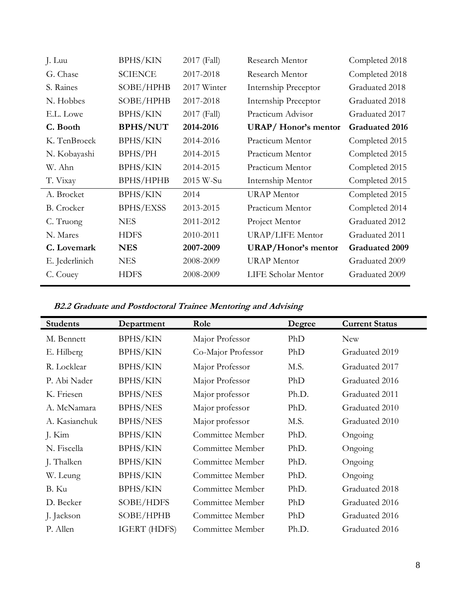| J. Luu            | <b>BPHS/KIN</b>  | 2017 (Fall) | Research Mentor            | Completed 2018        |
|-------------------|------------------|-------------|----------------------------|-----------------------|
| G. Chase          | <b>SCIENCE</b>   | 2017-2018   | Research Mentor            | Completed 2018        |
| S. Raines         | SOBE/HPHB        | 2017 Winter | Internship Preceptor       | Graduated 2018        |
| N. Hobbes         | SOBE/HPHB        | 2017-2018   | Internship Preceptor       | Graduated 2018        |
| E.L. Lowe         | <b>BPHS/KIN</b>  | 2017 (Fall) | Practicum Advisor          | Graduated 2017        |
| C. Booth          | <b>BPHS/NUT</b>  | 2014-2016   | <b>URAP/Honor's mentor</b> | <b>Graduated 2016</b> |
| K. TenBroeck      | <b>BPHS/KIN</b>  | 2014-2016   | Practicum Mentor           | Completed 2015        |
| N. Kobayashi      | BPHS/PH          | 2014-2015   | Practicum Mentor           | Completed 2015        |
| W. Ahn            | <b>BPHS/KIN</b>  | 2014-2015   | Practicum Mentor           | Completed 2015        |
| T. Vixay          | <b>BPHS/HPHB</b> | 2015 W-Su   | Internship Mentor          | Completed 2015        |
| A. Brocket        | <b>BPHS/KIN</b>  | 2014        | <b>URAP</b> Mentor         | Completed 2015        |
| <b>B.</b> Crocker | <b>BPHS/EXSS</b> | 2013-2015   | Practicum Mentor           | Completed 2014        |
| C. Truong         | <b>NES</b>       | 2011-2012   | Project Mentor             | Graduated 2012        |
| N. Mares          | <b>HDFS</b>      | 2010-2011   | <b>URAP/LIFE Mentor</b>    | Graduated 2011        |
| C. Lovemark       | <b>NES</b>       | 2007-2009   | <b>URAP/Honor's mentor</b> | <b>Graduated 2009</b> |
| E. Jederlinich    | <b>NES</b>       | 2008-2009   | <b>URAP</b> Mentor         | Graduated 2009        |
| C. Couey          | <b>HDFS</b>      | 2008-2009   | LIFE Scholar Mentor        | Graduated 2009        |
|                   |                  |             |                            |                       |

**B2.2 Graduate and Postdoctoral Trainee Mentoring and Advising**

| <b>Students</b> | Department          | Role               | Degree | <b>Current Status</b> |
|-----------------|---------------------|--------------------|--------|-----------------------|
| M. Bennett      | <b>BPHS/KIN</b>     | Major Professor    | PhD    | <b>New</b>            |
| E. Hilberg      | <b>BPHS/KIN</b>     | Co-Major Professor | PhD    | Graduated 2019        |
| R. Locklear     | <b>BPHS/KIN</b>     | Major Professor    | M.S.   | Graduated 2017        |
| P. Abi Nader    | <b>BPHS/KIN</b>     | Major Professor    | PhD    | Graduated 2016        |
| K. Friesen      | <b>BPHS/NES</b>     | Major professor    | Ph.D.  | Graduated 2011        |
| A. McNamara     | <b>BPHS/NES</b>     | Major professor    | PhD.   | Graduated 2010        |
| A. Kasianchuk   | <b>BPHS/NES</b>     | Major professor    | M.S.   | Graduated 2010        |
| J. Kim          | <b>BPHS/KIN</b>     | Committee Member   | PhD.   | Ongoing               |
| N. Fiscella     | <b>BPHS/KIN</b>     | Committee Member   | PhD.   | Ongoing               |
| J. Thalken      | <b>BPHS/KIN</b>     | Committee Member   | PhD.   | Ongoing               |
| W. Leung        | <b>BPHS/KIN</b>     | Committee Member   | PhD.   | Ongoing               |
| B. Ku           | <b>BPHS/KIN</b>     | Committee Member   | PhD.   | Graduated 2018        |
| D. Becker       | SOBE/HDFS           | Committee Member   | PhD    | Graduated 2016        |
| J. Jackson      | SOBE/HPHB           | Committee Member   | PhD    | Graduated 2016        |
| P. Allen        | <b>IGERT (HDFS)</b> | Committee Member   | Ph.D.  | Graduated 2016        |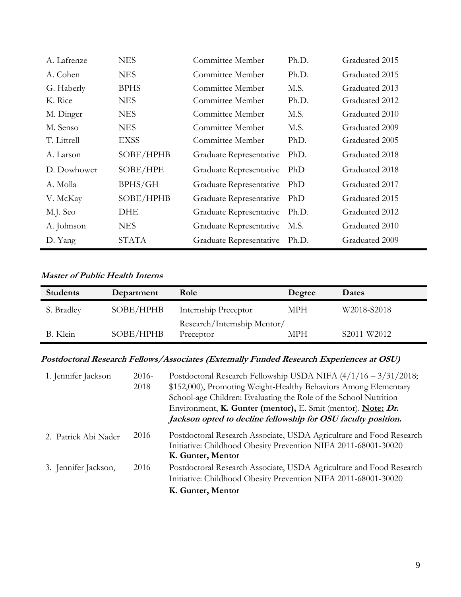| A. Lafrenze | <b>NES</b>   | Committee Member        | Ph.D. | Graduated 2015 |
|-------------|--------------|-------------------------|-------|----------------|
| A. Cohen    | <b>NES</b>   | Committee Member        | Ph.D. | Graduated 2015 |
| G. Haberly  | <b>BPHS</b>  | Committee Member        | M.S.  | Graduated 2013 |
| K. Rice     | <b>NES</b>   | Committee Member        | Ph.D. | Graduated 2012 |
| M. Dinger   | <b>NES</b>   | Committee Member        | M.S.  | Graduated 2010 |
| M. Senso    | <b>NES</b>   | Committee Member        | M.S.  | Graduated 2009 |
| T. Littrell | <b>EXSS</b>  | Committee Member        | PhD.  | Graduated 2005 |
| A. Larson   | SOBE/HPHB    | Graduate Representative | PhD.  | Graduated 2018 |
| D. Dowhower | SOBE/HPE     | Graduate Representative | PhD   | Graduated 2018 |
| A. Molla    | BPHS/GH      | Graduate Representative | PhD   | Graduated 2017 |
| V. McKay    | SOBE/HPHB    | Graduate Representative | PhD   | Graduated 2015 |
| M.J. Seo    | DHE          | Graduate Representative | Ph.D. | Graduated 2012 |
| A. Johnson  | <b>NES</b>   | Graduate Representative | M.S.  | Graduated 2010 |
| D. Yang     | <b>STATA</b> | Graduate Representative | Ph.D. | Graduated 2009 |

## **Master of Public Health Interns**

| <b>Students</b> | Department | Role                        | Degree | Dates       |
|-----------------|------------|-----------------------------|--------|-------------|
| S. Bradley      | SOBE/HPHB  | Internship Preceptor        | MPH    | W2018-S2018 |
| B. Klein        | SOBE/HPHB  | Research/Internship Mentor/ | MPH    | S2011-W2012 |
|                 |            | Preceptor                   |        |             |

# **Postdoctoral Research Fellows/Associates (Externally Funded Research Experiences at OSU)**

| 1. Jennifer Jackson  | $2016 -$<br>2018 | Postdoctoral Research Fellowship USDA NIFA (4/1/16 - 3/31/2018;<br>\$152,000), Promoting Weight-Healthy Behaviors Among Elementary<br>School-age Children: Evaluating the Role of the School Nutrition<br>Environment, K. Gunter (mentor), E. Smit (mentor). Note: Dr.<br>Jackson opted to decline fellowship for OSU faculty position. |
|----------------------|------------------|-----------------------------------------------------------------------------------------------------------------------------------------------------------------------------------------------------------------------------------------------------------------------------------------------------------------------------------------|
| 2. Patrick Abi Nader | 2016             | Postdoctoral Research Associate, USDA Agriculture and Food Research<br>Initiative: Childhood Obesity Prevention NIFA 2011-68001-30020<br>K. Gunter, Mentor                                                                                                                                                                              |
| 3. Jennifer Jackson, | 2016             | Postdoctoral Research Associate, USDA Agriculture and Food Research<br>Initiative: Childhood Obesity Prevention NIFA 2011-68001-30020<br>K. Gunter, Mentor                                                                                                                                                                              |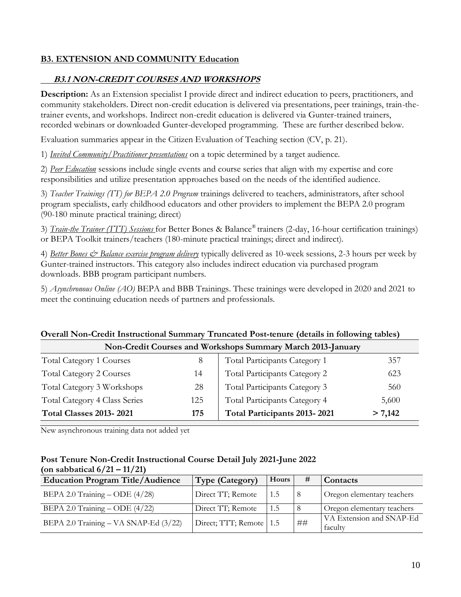## **B3. EXTENSION AND COMMUNITY Education**

## **B3.1 NON-CREDIT COURSES AND WORKSHOPS**

**Description:** As an Extension specialist I provide direct and indirect education to peers, practitioners, and community stakeholders. Direct non-credit education is delivered via presentations, peer trainings, train-thetrainer events, and workshops. Indirect non-credit education is delivered via Gunter-trained trainers, recorded webinars or downloaded Gunter-developed programming. These are further described below.

Evaluation summaries appear in the Citizen Evaluation of Teaching section (CV, p. 21).

1) *Invited Community/Practitioner presentations* on a topic determined by a target audience.

2) *Peer Education* sessions include single events and course series that align with my expertise and core responsibilities and utilize presentation approaches based on the needs of the identified audience.

3) *Teacher Trainings (TT) for BEPA 2.0 Program* trainings delivered to teachers, administrators, after school program specialists, early childhood educators and other providers to implement the BEPA 2.0 program (90-180 minute practical training; direct)

3) *Train-the Trainer (TTT) Sessions* for Better Bones & Balance® trainers (2-day, 16-hour certification trainings) or BEPA Toolkit trainers/teachers (180-minute practical trainings; direct and indirect).

4) *Better Bones & Balance exercise program delivery* typically delivered as 10-week sessions, 2-3 hours per week by Gunter-trained instructors. This category also includes indirect education via purchased program downloads. BBB program participant numbers.

5) *Asynchronous Online (AO)* BEPA and BBB Trainings. These trainings were developed in 2020 and 2021 to meet the continuing education needs of partners and professionals.

# **Overall Non-Credit Instructional Summary Truncated Post-tenure (details in following tables)**

| Non-Credit Courses and Workshops Summary March 2013-January |     |                               |         |  |  |
|-------------------------------------------------------------|-----|-------------------------------|---------|--|--|
| <b>Total Category 1 Courses</b>                             |     | Total Participants Category 1 | 357     |  |  |
| <b>Total Category 2 Courses</b>                             | 14  | Total Participants Category 2 | 623     |  |  |
| Total Category 3 Workshops                                  | 28  | Total Participants Category 3 | 560     |  |  |
| <b>Total Category 4 Class Series</b>                        | 125 | Total Participants Category 4 | 5,600   |  |  |
| <b>Total Classes 2013-2021</b>                              | 175 | Total Participants 2013-2021  | > 7,142 |  |  |

New asynchronous training data not added yet

#### **Post Tenure Non-Credit Instructional Course Detail July 2021-June 2022 (on sabbatical 6/21 – 11/21)**

| <b>Education Program Title/Audience</b> | Type (Category)         | Hours | #  | <b>Contacts</b>                     |
|-----------------------------------------|-------------------------|-------|----|-------------------------------------|
| BEPA 2.0 Training $-$ ODE $(4/28)$      | Direct TT; Remote       | 1.5   |    | Oregon elementary teachers          |
| BEPA 2.0 Training $-$ ODE $(4/22)$      | Direct TT; Remote       | 1.5   |    | Oregon elementary teachers          |
| BEPA 2.0 Training - VA SNAP-Ed (3/22)   | Direct; TTT; Remote 1.5 |       | ## | VA Extension and SNAP-Ed<br>faculty |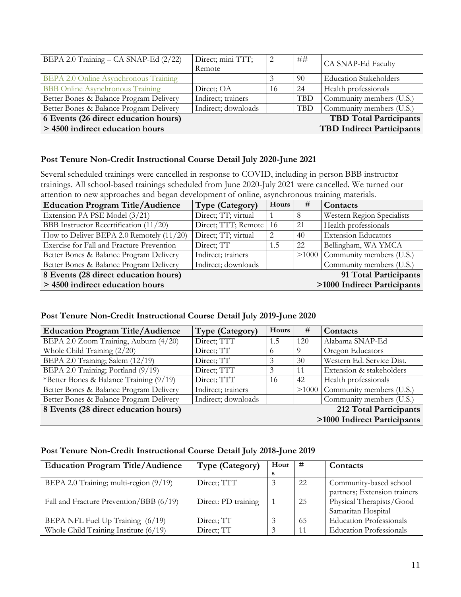| BEPA 2.0 Training – CA SNAP-Ed (2/22)   | Direct; mini TTT;<br>Remote | っ  | ##         | CA SNAP-Ed Faculty               |
|-----------------------------------------|-----------------------------|----|------------|----------------------------------|
| BEPA 2.0 Online Asynchronous Training   |                             |    | 90         | <b>Education Stakeholders</b>    |
| <b>BBB</b> Online Asynchronous Training | Direct; OA                  | 16 | 24         | Health professionals             |
| Better Bones & Balance Program Delivery | Indirect; trainers          |    | <b>TBD</b> | Community members (U.S.)         |
| Better Bones & Balance Program Delivery | Indirect; downloads         |    | TBD        | Community members (U.S.)         |
| 6 Events (26 direct education hours)    |                             |    |            | <b>TBD</b> Total Participants    |
| > 4500 indirect education hours         |                             |    |            | <b>TBD Indirect Participants</b> |

#### **Post Tenure Non-Credit Instructional Course Detail July 2020-June 2021**

Several scheduled trainings were cancelled in response to COVID, including in-person BBB instructor trainings. All school-based trainings scheduled from June 2020-July 2021 were cancelled. We turned our attention to new approaches and began development of online, asynchronous training materials.

| <b>Education Program Title/Audience</b>                        | <b>Type (Category)</b> | Hours | #   | Contacts                         |
|----------------------------------------------------------------|------------------------|-------|-----|----------------------------------|
| Extension PA PSE Model (3/21)                                  | Direct; TT; virtual    |       |     | Western Region Specialists       |
| BBB Instructor Recertification (11/20)                         | Direct; TTT; Remote    | -16   | 21  | Health professionals             |
| How to Deliver BEPA 2.0 Remotely (11/20)                       | Direct; TT; virtual    | 2     | -40 | <b>Extension Educators</b>       |
| Exercise for Fall and Fracture Prevention                      | Direct; TT             | 1.5   | 22  | Bellingham, WA YMCA              |
| Better Bones & Balance Program Delivery                        | Indirect; trainers     |       |     | $>1000$ Community members (U.S.) |
| Better Bones & Balance Program Delivery                        | Indirect; downloads    |       |     | Community members (U.S.)         |
| 91 Total Participants<br>8 Events (28 direct education hours)  |                        |       |     |                                  |
| >1000 Indirect Participants<br>> 4500 indirect education hours |                        |       |     |                                  |

#### **Post Tenure Non-Credit Instructional Course Detail July 2019-June 2020**

| <b>Education Program Title/Audience</b> | <b>Type (Category)</b> | Hours    | #   | Contacts                         |
|-----------------------------------------|------------------------|----------|-----|----------------------------------|
| BEPA 2.0 Zoom Training, Auburn (4/20)   | Direct; TTT            | 1.5      | 120 | Alabama SNAP-Ed                  |
| Whole Child Training (2/20)             | Direct; TT             | $\Omega$ | -9  | Oregon Educators                 |
| BEPA 2.0 Training; Salem (12/19)        | Direct; TT             |          | 30  | Western Ed. Service Dist.        |
| BEPA 2.0 Training; Portland (9/19)      | Direct; TTT            |          | -11 | Extension & stakeholders         |
| *Better Bones & Balance Training (9/19) | Direct; TTT            | 16       | 42  | Health professionals             |
| Better Bones & Balance Program Delivery | Indirect; trainers     |          |     | $>1000$ Community members (U.S.) |
| Better Bones & Balance Program Delivery | Indirect; downloads    |          |     | Community members (U.S.)         |
| 8 Events (28 direct education hours)    |                        |          |     | 212 Total Participants           |
|                                         |                        |          |     | >1000 Indirect Participants      |

#### **Post Tenure Non-Credit Instructional Course Detail July 2018-June 2019**

| <b>Education Program Title/Audience</b> | <b>Type (Category)</b> | Hour | #  | Contacts                       |
|-----------------------------------------|------------------------|------|----|--------------------------------|
|                                         |                        | s    |    |                                |
| BEPA 2.0 Training; multi-region (9/19)  | Direct; TTT            |      | 22 | Community-based school         |
|                                         |                        |      |    | partners; Extension trainers   |
| Fall and Fracture Prevention/BBB (6/19) | Direct: PD training    |      | 25 | Physical Therapists/Good       |
|                                         |                        |      |    | Samaritan Hospital             |
| BEPA NFL Fuel Up Training (6/19)        | Direct; TT             |      | 65 | <b>Education Professionals</b> |
| Whole Child Training Institute $(6/19)$ | Direct; TT             |      | 11 | <b>Education Professionals</b> |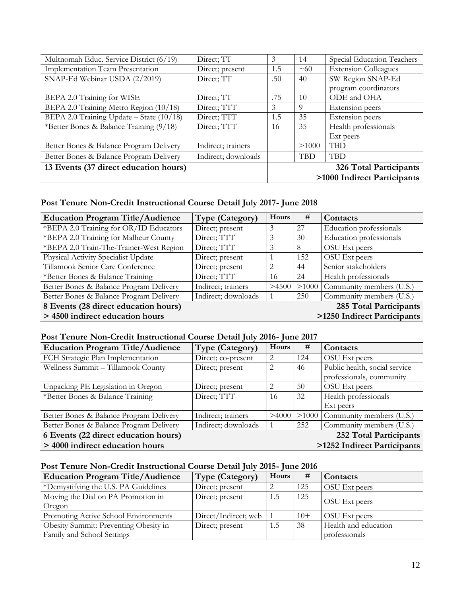| Multnomah Educ. Service District (6/19)  | Direct; TT          | 3   | 14             | Special Education Teachers  |
|------------------------------------------|---------------------|-----|----------------|-----------------------------|
| <b>Implementation Team Presentation</b>  | Direct; present     | 1.5 | $~1$ $\sim$ 60 | <b>Extension Colleagues</b> |
| SNAP-Ed Webinar USDA (2/2019)            | Direct; TT          | .50 | 40             | SW Region SNAP-Ed           |
|                                          |                     |     |                | program coordinators        |
| BEPA 2.0 Training for WISE               | Direct; TT          | .75 | 10             | ODE and OHA                 |
| BEPA 2.0 Training Metro Region (10/18)   | Direct; TTT         | 3   | 9              | Extension peers             |
| BEPA 2.0 Training Update - State (10/18) | Direct; TTT         | 1.5 | 35             | Extension peers             |
| *Better Bones & Balance Training (9/18)  | Direct; TTT         | 16  | 35             | Health professionals        |
|                                          |                     |     |                | Ext peers                   |
| Better Bones & Balance Program Delivery  | Indirect; trainers  |     | >1000          | <b>TBD</b>                  |
| Better Bones & Balance Program Delivery  | Indirect; downloads |     | <b>TBD</b>     | <b>TBD</b>                  |
| 13 Events (37 direct education hours)    |                     |     |                | 326 Total Participants      |
|                                          |                     |     |                | >1000 Indirect Participants |

## **Post Tenure Non-Credit Instructional Course Detail July 2017- June 2018**

| <b>Education Program Title/Audience</b> | <b>Type (Category)</b> | Hours | #                      | Contacts                    |
|-----------------------------------------|------------------------|-------|------------------------|-----------------------------|
| *BEPA 2.0 Training for OR/ID Educators  | Direct; present        | 3     | 27                     | Education professionals     |
| *BEPA 2.0 Training for Malheur County   | Direct; TTT            | 3     | 30                     | Education professionals     |
| *BEPA 2.0 Train-The-Trainer-West Region | Direct; TTT            |       | 8                      | OSU Ext peers               |
| Physical Activity Specialist Update     | Direct; present        |       | 152                    | OSU Ext peers               |
| Tillamook Senior Care Conference        | Direct; present        | 2     | 44                     | Senior stakeholders         |
| *Better Bones & Balance Training        | Direct; TTT            | 16    | 24                     | Health professionals        |
| Better Bones & Balance Program Delivery | Indirect; trainers     | >4500 | $>1000$                | Community members (U.S.)    |
| Better Bones & Balance Program Delivery | Indirect; downloads    |       | 250                    | Community members (U.S.)    |
| 8 Events (28 direct education hours)    |                        |       | 285 Total Participants |                             |
| > 4500 indirect education hours         |                        |       |                        | >1250 Indirect Participants |

## **Post Tenure Non-Credit Instructional Course Detail July 2016- June 2017**

| <b>Education Program Title/Audience</b>                        | Type (Category)     | Hours | #                           | Contacts                         |
|----------------------------------------------------------------|---------------------|-------|-----------------------------|----------------------------------|
| FCH Strategic Plan Implementation                              | Direct; co-present  | 2     | 124                         | OSU Ext peers                    |
| Wellness Summit - Tillamook County                             | Direct; present     | 2     | 46                          | Public health, social service    |
|                                                                |                     |       |                             | professionals, community         |
| Unpacking PE Legislation in Oregon                             | Direct; present     |       | 50                          | OSU Ext peers                    |
| *Better Bones & Balance Training                               | Direct; TTT         | 16    | 32                          | Health professionals             |
|                                                                |                     |       |                             | Ext peers                        |
| Better Bones & Balance Program Delivery                        | Indirect; trainers  | >4000 |                             | $>1000$ Community members (U.S.) |
| Better Bones & Balance Program Delivery                        | Indirect; downloads |       | 252                         | Community members (U.S.)         |
| 6 Events (22 direct education hours)<br>252 Total Participants |                     |       |                             |                                  |
| > 4000 indirect education hours                                |                     |       | >1252 Indirect Participants |                                  |

## **Post Tenure Non-Credit Instructional Course Detail July 2015- June 2016**

| <b>Education Program Title/Audience</b> | Type (Category)      | Hours | #     | Contacts             |
|-----------------------------------------|----------------------|-------|-------|----------------------|
| *Demystifying the U.S. PA Guidelines    | Direct; present      |       | 125   | OSU Ext peers        |
| Moving the Dial on PA Promotion in      | Direct; present      | 1.5   | 125   | OSU Ext peers        |
| Oregon                                  |                      |       |       |                      |
| Promoting Active School Environments    | Direct/Indirect; web |       | $10+$ | OSU Ext peers        |
| Obesity Summit: Preventing Obesity in   | Direct; present      | 1.5   | 38    | Health and education |
| Family and School Settings              |                      |       |       | professionals        |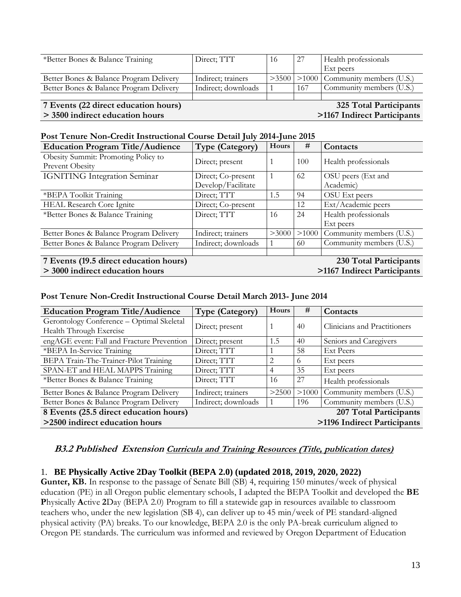| *Better Bones & Balance Training        | Direct; TTT         | 16 | 27  | Health professionals                         |
|-----------------------------------------|---------------------|----|-----|----------------------------------------------|
|                                         |                     |    |     | Ext peers                                    |
| Better Bones & Balance Program Delivery | Indirect; trainers  |    |     | $>3500$   $>1000$   Community members (U.S.) |
| Better Bones & Balance Program Delivery | Indirect; downloads |    | 167 | Community members (U.S.)                     |
|                                         |                     |    |     |                                              |
| 7 Events (22 direct education hours)    |                     |    |     | 325 Total Participants                       |
| > 3500 indirect education hours         |                     |    |     | >1167 Indirect Participants                  |

#### **Post Tenure Non-Credit Instructional Course Detail July 2014-June 2015**

| <b>Education Program Title/Audience</b>                          | <b>Type (Category)</b> | Hours | #   | Contacts                         |
|------------------------------------------------------------------|------------------------|-------|-----|----------------------------------|
| Obesity Summit: Promoting Policy to                              | Direct; present        |       | 100 | Health professionals             |
| Prevent Obesity                                                  |                        |       |     |                                  |
| <b>IGNITING Integration Seminar</b>                              | Direct; Co-present     |       | 62  | OSU peers (Ext and               |
|                                                                  | Develop/Facilitate     |       |     | Academic)                        |
| *BEPA Toolkit Training                                           | Direct; TTT            | 1.5   | 94  | OSU Ext peers                    |
| <b>HEAL Research Core Ignite</b>                                 | Direct; Co-present     |       | 12  | Ext/Academic peers               |
| *Better Bones & Balance Training                                 | Direct; TTT            | 16    | 24  | Health professionals             |
|                                                                  |                        |       |     | Ext peers                        |
| Better Bones & Balance Program Delivery                          | Indirect; trainers     | >3000 |     | $>1000$ Community members (U.S.) |
| Better Bones & Balance Program Delivery                          | Indirect; downloads    |       | 60  | Community members (U.S.)         |
|                                                                  |                        |       |     |                                  |
| 7 Events (19.5 direct education hours)<br>230 Total Participants |                        |       |     |                                  |
| > 3000 indirect education hours                                  |                        |       |     | >1167 Indirect Participants      |

#### **Post Tenure Non-Credit Instructional Course Detail March 2013- June 2014**

| <b>Education Program Title/Audience</b>                              | <b>Type (Category)</b> | Hours | #                      | Contacts                     |
|----------------------------------------------------------------------|------------------------|-------|------------------------|------------------------------|
| Gerontology Conference - Optimal Skeletal<br>Health Through Exercise | Direct; present        |       | 40                     | Clinicians and Practitioners |
| engAGE event: Fall and Fracture Prevention                           | Direct; present        | 1.5   | 40                     | Seniors and Caregivers       |
| *BEPA In-Service Training                                            | Direct; TTT            |       | 58                     | <b>Ext Peers</b>             |
| BEPA Train-The-Trainer-Pilot Training                                | Direct; TTT            | 2     | 6                      | Ext peers                    |
| SPAN-ET and HEAL MAPPS Training                                      | Direct; TTT            | 4     | 35                     | Ext peers                    |
| *Better Bones & Balance Training                                     | Direct; TTT            | 16    | 27                     | Health professionals         |
| Better Bones & Balance Program Delivery                              | Indirect; trainers     | >2500 | >1000                  | Community members (U.S.)     |
| Better Bones & Balance Program Delivery                              | Indirect; downloads    |       | 196                    | Community members (U.S.)     |
| 8 Events (25.5 direct education hours)                               |                        |       | 207 Total Participants |                              |
| >2500 indirect education hours                                       |                        |       |                        | >1196 Indirect Participants  |

#### **B3.2 Published Extension Curricula and Training Resources (Title, publication dates)**

#### 1. **BE Physically Active 2Day Toolkit (BEPA 2.0) (updated 2018, 2019, 2020, 2022)**

**Gunter, KB.** In response to the passage of Senate Bill (SB) 4, requiring 150 minutes/week of physical education (PE) in all Oregon public elementary schools, I adapted the BEPA Toolkit and developed the **BE P**hysically **A**ctive **2**Day (BEPA 2.0) Program to fill a statewide gap in resources available to classroom teachers who, under the new legislation (SB 4), can deliver up to 45 min/week of PE standard-aligned physical activity (PA) breaks. To our knowledge, BEPA 2.0 is the only PA-break curriculum aligned to Oregon PE standards. The curriculum was informed and reviewed by Oregon Department of Education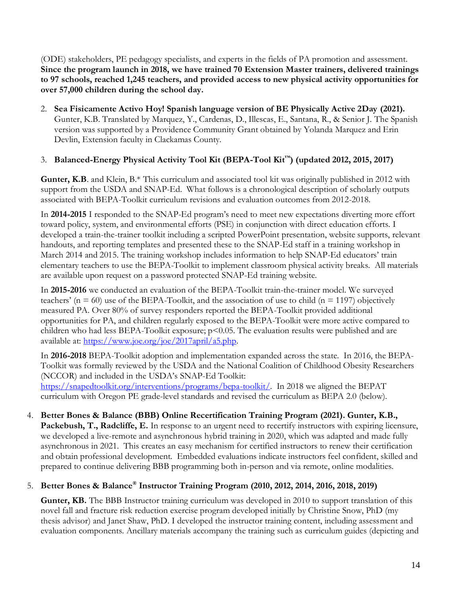(ODE) stakeholders, PE pedagogy specialists, and experts in the fields of PA promotion and assessment. **Since the program launch in 2018, we have trained 70 Extension Master trainers, delivered trainings to 97 schools, reached 1,245 teachers, and provided access to new physical activity opportunities for over 57,000 children during the school day.**

2. **Sea Fisicamente Activo Hoy! Spanish language version of BE Physically Active 2Day (2021).**  Gunter, K.B. Translated by Marquez, Y., Cardenas, D., Illescas, E., Santana, R., & Senior J. The Spanish version was supported by a Providence Community Grant obtained by Yolanda Marquez and Erin Devlin, Extension faculty in Clackamas County.

## 3. **Balanced-Energy Physical Activity Tool Kit (BEPA-Tool Kit™) (updated 2012, 2015, 2017)**

**Gunter, K.B.** and Klein, B.\* This curriculum and associated tool kit was originally published in 2012 with support from the USDA and SNAP-Ed. What follows is a chronological description of scholarly outputs associated with BEPA-Toolkit curriculum revisions and evaluation outcomes from 2012-2018.

In **2014-2015** I responded to the SNAP-Ed program's need to meet new expectations diverting more effort toward policy, system, and environmental efforts (PSE) in conjunction with direct education efforts. I developed a train-the-trainer toolkit including a scripted PowerPoint presentation, website supports, relevant handouts, and reporting templates and presented these to the SNAP-Ed staff in a training workshop in March 2014 and 2015. The training workshop includes information to help SNAP-Ed educators' train elementary teachers to use the BEPA-Toolkit to implement classroom physical activity breaks. All materials are available upon request on a password protected SNAP-Ed training website.

In **2015-2016** we conducted an evaluation of the BEPA-Toolkit train-the-trainer model. We surveyed teachers' ( $n = 60$ ) use of the BEPA-Toolkit, and the association of use to child ( $n = 1197$ ) objectively measured PA. Over 80% of survey responders reported the BEPA-Toolkit provided additional opportunities for PA, and children regularly exposed to the BEPA-Toolkit were more active compared to children who had less BEPA-Toolkit exposure;  $p<0.05$ . The evaluation results were published and are available at: [https://www.joe.org/joe/2017april/a5.php.](https://www.joe.org/joe/2017april/a5.php)

In **2016-2018** BEPA-Toolkit adoption and implementation expanded across the state. In 2016, the BEPA-Toolkit was formally reviewed by the USDA and the National Coalition of Childhood Obesity Researchers (NCCOR) and included in the USDA's SNAP-Ed Toolkit: [https://snapedtoolkit.org/interventions/programs/bepa-toolkit/.](https://snapedtoolkit.org/interventions/programs/bepa-toolkit/) In 2018 we aligned the BEPAT curriculum with Oregon PE grade-level standards and revised the curriculum as BEPA 2.0 (below).

4. **Better Bones & Balance (BBB) Online Recertification Training Program (2021). Gunter, K.B., Packebush, T., Radcliffe, E.** In response to an urgent need to recertify instructors with expiring licensure, we developed a live-remote and asynchronous hybrid training in 2020, which was adapted and made fully asynchronous in 2021. This creates an easy mechanism for certified instructors to renew their certification and obtain professional development. Embedded evaluations indicate instructors feel confident, skilled and prepared to continue delivering BBB programming both in-person and via remote, online modalities.

## 5. **Better Bones & Balance® Instructor Training Program (2010, 2012, 2014, 2016, 2018, 2019)**

**Gunter, KB.** The BBB Instructor training curriculum was developed in 2010 to support translation of this novel fall and fracture risk reduction exercise program developed initially by Christine Snow, PhD (my thesis advisor) and Janet Shaw, PhD. I developed the instructor training content, including assessment and evaluation components. Ancillary materials accompany the training such as curriculum guides (depicting and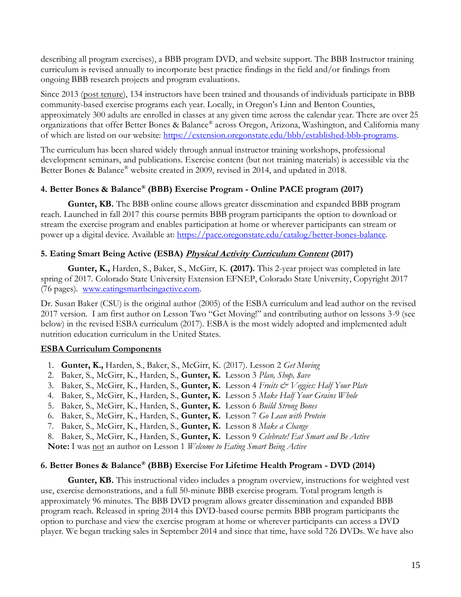describing all program exercises), a BBB program DVD, and website support. The BBB Instructor training curriculum is revised annually to incorporate best practice findings in the field and/or findings from ongoing BBB research projects and program evaluations.

Since 2013 (post tenure), 134 instructors have been trained and thousands of individuals participate in BBB community-based exercise programs each year. Locally, in Oregon's Linn and Benton Counties, approximately 300 adults are enrolled in classes at any given time across the calendar year. There are over 25 organizations that offer Better Bones & Balance® across Oregon, Arizona, Washington, and California many of which are listed on our website: [https://extension.oregonstate.edu/bbb/established-bbb-programs.](https://extension.oregonstate.edu/bbb/established-bbb-programs)

The curriculum has been shared widely through annual instructor training workshops, professional development seminars, and publications. Exercise content (but not training materials) is accessible via the Better Bones & Balance® website created in 2009, revised in 2014, and updated in 2018.

## **4. Better Bones & Balance® (BBB) Exercise Program - Online PACE program (2017)**

**Gunter, KB.** The BBB online course allows greater dissemination and expanded BBB program reach. Launched in fall 2017 this course permits BBB program participants the option to download or stream the exercise program and enables participation at home or wherever participants can stream or power up a digital device. Available at: [https://pace.oregonstate.edu/catalog/better-bones-balance.](https://pace.oregonstate.edu/catalog/better-bones-balance)

## **5. Eating Smart Being Active (ESBA) Physical Activity Curriculum Content (2017)**

**Gunter, K.,** Harden, S., Baker, S., McGirr, K. **(2017).** This 2-year project was completed in late spring of 2017. Colorado State University Extension EFNEP, Colorado State University, Copyright 2017 (76 pages). [www.eatingsmartbeingactive.com.](http://www.eatingsmartbeingactive.com/)

Dr. Susan Baker (CSU) is the original author (2005) of the ESBA curriculum and lead author on the revised 2017 version. I am first author on Lesson Two "Get Moving!" and contributing author on lessons 3-9 (see below) in the revised ESBA curriculum (2017). ESBA is the most widely adopted and implemented adult nutrition education curriculum in the United States.

## **ESBA Curriculum Components**

- 1. **Gunter, K.,** Harden, S., Baker, S., McGirr, K. (2017). Lesson 2 *Get Moving*
- 2. Baker, S., McGirr, K., Harden, S., **Gunter, K.** Lesson 3 *Plan, Shop, \$ave*
- 3. Baker, S., McGirr, K., Harden, S., **Gunter, K.** Lesson 4 *Fruits & Veggies: Half Your Plate*
- 4. Baker, S., McGirr, K., Harden, S., **Gunter, K.** Lesson 5 *Make Half Your Grains Whole*
- 5. Baker, S., McGirr, K., Harden, S., **Gunter, K.** Lesson 6 *Build Strong Bones*
- 6. Baker, S., McGirr, K., Harden, S., **Gunter, K.** Lesson 7 *Go Lean with Protein*
- 7. Baker, S., McGirr, K., Harden, S., **Gunter, K.** Lesson 8 *Make a Change*

8. Baker, S., McGirr, K., Harden, S., **Gunter, K.** Lesson 9 *Celebrate! Eat Smart and Be Active*

**Note:** I was not an author on Lesson 1 *Welcome to Eating Smart Being Active*

## **6. Better Bones & Balance® (BBB) Exercise For Lifetime Health Program - DVD (2014)**

Gunter, KB. This instructional video includes a program overview, instructions for weighted vest use, exercise demonstrations, and a full 50-minute BBB exercise program. Total program length is approximately 96 minutes. The BBB DVD program allows greater dissemination and expanded BBB program reach. Released in spring 2014 this DVD-based course permits BBB program participants the option to purchase and view the exercise program at home or wherever participants can access a DVD player. We began tracking sales in September 2014 and since that time, have sold 726 DVDs. We have also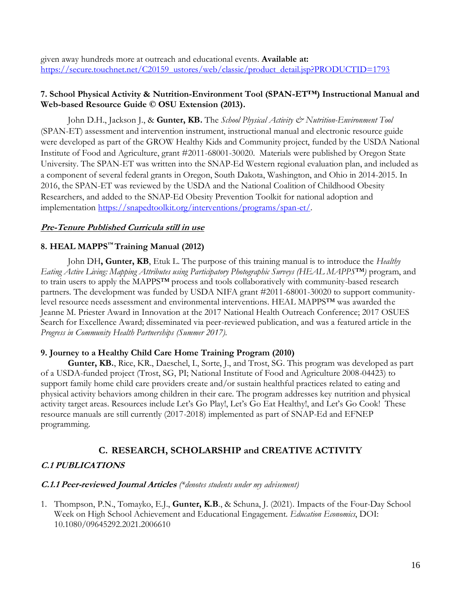given away hundreds more at outreach and educational events. **Available at:**  [https://secure.touchnet.net/C20159\\_ustores/web/classic/product\\_detail.jsp?PRODUCTID=1793](https://secure.touchnet.net/C20159_ustores/web/classic/product_detail.jsp?PRODUCTID=1793)

#### **7. School Physical Activity & Nutrition-Environment Tool (SPAN-ET™) Instructional Manual and Web-based Resource Guide © OSU Extension (2013).**

John D.H., Jackson J., & **Gunter, KB.** The *School Physical Activity & Nutrition-Environment Tool* (SPAN-ET) assessment and intervention instrument, instructional manual and electronic resource guide were developed as part of the GROW Healthy Kids and Community project, funded by the USDA National Institute of Food and Agriculture, grant #2011-68001-30020. Materials were published by Oregon State University. The SPAN-ET was written into the SNAP-Ed Western regional evaluation plan, and included as a component of several federal grants in Oregon, South Dakota, Washington, and Ohio in 2014-2015. In 2016, the SPAN-ET was reviewed by the USDA and the National Coalition of Childhood Obesity Researchers, and added to the SNAP-Ed Obesity Prevention Toolkit for national adoption and implementation [https://snapedtoolkit.org/interventions/programs/span-et/.](https://snapedtoolkit.org/interventions/programs/span-et/)

#### **Pre-Tenure Published Curricula still in use**

## **8. HEAL MAPPS™ Training Manual (2012)**

John DH**, Gunter, KB**, Etuk L. The purpose of this training manual is to introduce the *Healthy Eating Active Living: Mapping Attributes using Participatory Photographic Surveys (HEAL MAPPS™)* program, and to train users to apply the MAPPS™ process and tools collaboratively with community-based research partners. The development was funded by USDA NIFA grant #2011-68001-30020 to support communitylevel resource needs assessment and environmental interventions. HEAL MAPPS™ was awarded the Jeanne M. Priester Award in Innovation at the 2017 National Health Outreach Conference; 2017 OSUES Search for Excellence Award; disseminated via peer-reviewed publication, and was a featured article in the *Progress in Community Health Partnerships (Summer 2017).*

#### **9. Journey to a Healthy Child Care Home Training Program (2010)**

**Gunter, KB.**, Rice, KR., Daeschel, I., Sorte, J., and Trost, SG. This program was developed as part of a USDA-funded project (Trost, SG, PI; National Institute of Food and Agriculture 2008-04423) to support family home child care providers create and/or sustain healthful practices related to eating and physical activity behaviors among children in their care. The program addresses key nutrition and physical activity target areas. Resources include Let's Go Play!, Let's Go Eat Healthy!, and Let's Go Cook! These resource manuals are still currently (2017-2018) implemented as part of SNAP-Ed and EFNEP programming.

## **C. RESEARCH, SCHOLARSHIP and CREATIVE ACTIVITY**

#### **C.1 PUBLICATIONS**

#### **C.1.1 Peer-reviewed Journal Articles** *(\*denotes students under my advisement)*

1. Thompson, P.N., Tomayko, E.J., **Gunter, K.B**., & Schuna, J. (2021). Impacts of the Four-Day School Week on High School Achievement and Educational Engagement. *Education Economics*, DOI: 10.1080/09645292.2021.2006610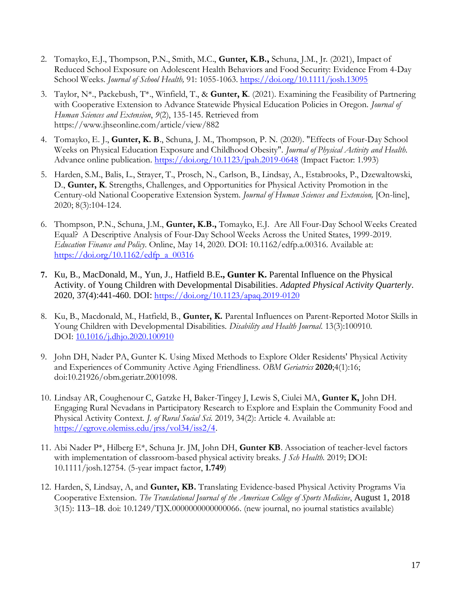- 2. Tomayko, E.J., Thompson, P.N., Smith, M.C., **Gunter, K.B.,** Schuna, J.M., Jr. (2021), Impact of Reduced School Exposure on Adolescent Health Behaviors and Food Security: Evidence From 4-Day School Weeks. *Journal of School Health,* 91: 1055-1063. <https://doi.org/10.1111/josh.13095>
- 3. Taylor, N\*., Packebush, T\*., Winfield, T., & **Gunter, K**. (2021). Examining the Feasibility of Partnering with Cooperative Extension to Advance Statewide Physical Education Policies in Oregon. *Journal of Human Sciences and Extension*, *9*(2), 135-145. Retrieved from https://www.jhseonline.com/article/view/882
- 4. Tomayko, E. J., **Gunter, K. B**., Schuna, J. M., Thompson, P. N. (2020). "Effects of Four-Day School Weeks on Physical Education Exposure and Childhood Obesity". *Journal of Physical Activity and Health*. Advance online publication.<https://doi.org/10.1123/jpah.2019-0648> (Impact Factor: 1.993)
- 5. Harden, S.M., Balis, L., Strayer, T., Prosch, N., Carlson, B., Lindsay, A., Estabrooks, P., Dzewaltowski, D., **Gunter, K**. Strengths, Challenges, and Opportunities for Physical Activity Promotion in the Century-old National Cooperative Extension System. *Journal of Human Sciences and Extension,* [On-line], 2020; 8(3):104-124.
- 6. Thompson, P.N., Schuna, J.M., **Gunter, K.B.,** Tomayko, E.J. Are All Four-Day School Weeks Created Equal? A Descriptive Analysis of Four-Day School Weeks Across the United States, 1999-2019. *Education Finance and Policy*. Online, May 14, 2020. DOI: 10.1162/edfp.a.00316. Available at: [https://doi.org/10.1162/edfp\\_a\\_00316](https://doi.org/10.1162/edfp_a_00316)
- **7.** Ku, B., MacDonald, M., Yun, J., Hatfield B.E**., Gunter K.** Parental Influence on the Physical Activity. of Young Children with Developmental Disabilities. *Adapted Physical Activity Quarterly*. 2020, 37(4):441-460. DOI: <https://doi.org/10.1123/apaq.2019-0120>
- 8. Ku, B., Macdonald, M., Hatfield, B., **Gunter, K.** Parental Influences on Parent-Reported Motor Skills in Young Children with Developmental Disabilities. *Disability and Health Journal*. 13(3):100910. DOI: [10.1016/j.dhjo.2020.100910](https://www.researchgate.net/deref/http%3A%2F%2Fdx.doi.org%2F10.1016%2Fj.dhjo.2020.100910?_sg%5B0%5D=KrRGevyhpurWqmoWVmNjXNKw8Ab7d2Iv81g3MJ6UAdCtNmpTtOO6nozej_vXCXDN8Hwh52T9LSOs2ZzlmAaXrVfs1A.3FC-pDRC5uE3WbXpNY9tGNPs3-7L1-Y1E-EmwN9qed-Dxj6FM_xUT6dXn0k3-vSXsS1cpeyT8FbhbEBbcGCjtA)
- 9. John DH, Nader PA, Gunter K. Using Mixed Methods to Explore Older Residents' Physical Activity and Experiences of Community Active Aging Friendliness. *OBM Geriatrics* **2020**;4(1):16; doi:10.21926/obm.geriatr.2001098.
- 10. Lindsay AR, Coughenour C, Gatzke H, Baker-Tingey J, Lewis S, Ciulei MA, **Gunter K,** John DH. Engaging Rural Nevadans in Participatory Research to Explore and Explain the Community Food and Physical Activity Context. *J. of Rural Social Sci.* 2019*,* 34(2): Article 4. Available at: [https://egrove.olemiss.edu/jrss/vol34/iss2/4.](https://egrove.olemiss.edu/jrss/vol34/iss2/4)
- 11. Abi Nader P\*, Hilberg E\*, Schuna Jr. JM, John DH, **Gunter KB**. Association of teacher-level factors with implementation of classroom-based physical activity breaks. *J Sch Health*. 2019; DOI: 10.1111/josh.12754. (5-year impact factor, **1.749**)
- 12. Harden, S, Lindsay, A, and **Gunter, KB.** Translating Evidence-based Physical Activity Programs Via Cooperative Extension. *The Translational Journal of the American College of Sports Medicine*, August 1, 2018 3(15): 113–18. doi: 10.1249/TJX.0000000000000066. (new journal, no journal statistics available)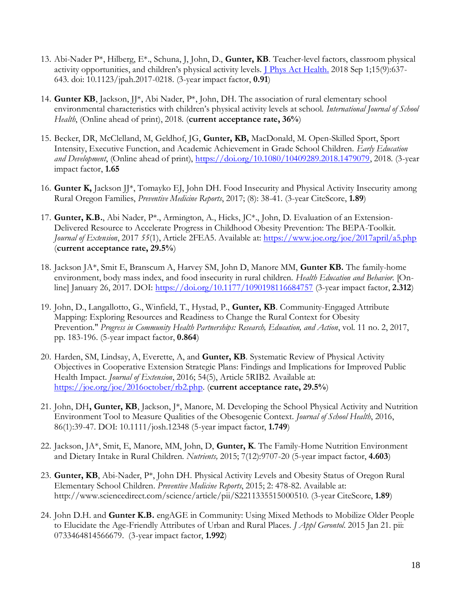- 13. Abi-Nader P\*, Hilberg, E\*., Schuna, J, John, D., **Gunter, KB**. Teacher-level factors, classroom physical activity opportunities, and children's physical activity levels. *[J Phys Act Health.](https://www.ncbi.nlm.nih.gov/pubmed/29584527)* 2018 Sep 1;15(9):637-643. doi: 10.1123/jpah.2017-0218. (3-year impact factor, **0.91**)
- 14. **Gunter KB**, Jackson, JJ\*, Abi Nader, P\*, John, DH. The association of rural elementary school environmental characteristics with children's physical activity levels at school. *International Journal of School Health*, (Online ahead of print), 2018. (**current acceptance rate, 36%**)
- 15. Becker, DR, McClelland, M, Geldhof, JG, **Gunter, KB,** MacDonald, M. Open-Skilled Sport, Sport Intensity, Executive Function, and Academic Achievement in Grade School Children. *Early Education and Development*, (Online ahead of print), [https://doi.org/10.1080/10409289.2018.1479079,](https://doi.org/10.1080/10409289.2018.1479079) 2018. (3-year impact factor, **1.65**
- 16. **Gunter K,** Jackson JJ\*, Tomayko EJ, John DH. Food Insecurity and Physical Activity Insecurity among Rural Oregon Families, *Preventive Medicine Reports*, 2017; (8): 38-41. (3-year CiteScore, **1.89**)
- 17. **Gunter, K.B.**, Abi Nader, P\*., Armington, A., Hicks, JC\*., John, D. Evaluation of an Extension-Delivered Resource to Accelerate Progress in Childhood Obesity Prevention: The BEPA-Toolkit. *Journal of Extension*, 2017 *55*(1), Article 2FEA5. Available at: <https://www.joe.org/joe/2017april/a5.php> (**current acceptance rate, 29.5%**)
- 18. Jackson JA\*, Smit E, Branscum A, Harvey SM, John D, Manore MM, **Gunter KB.** The family-home environment, body mass index, and food insecurity in rural children. *Health Education and Behavior.* [Online] January 26, 2017. DOI: <https://doi.org/10.1177/1090198116684757> (3-year impact factor, **2.312**)
- 19. John, D., Langallotto, G., Winfield, T., Hystad, P., **Gunter, KB**. Community-Engaged Attribute Mapping: Exploring Resources and Readiness to Change the Rural Context for Obesity Prevention." *Progress in Community Health Partnerships: Research, Education, and Action*, vol. 11 no. 2, 2017, pp. 183-196. (5-year impact factor, **0.864**)
- 20. Harden, SM, Lindsay, A, Everette, A, and **Gunter, KB**. Systematic Review of Physical Activity Objectives in Cooperative Extension Strategic Plans: Findings and Implications for Improved Public Health Impact. *Journal of Extension*, 2016; 54(5), Article 5RIB2. Available at: [https://joe.org/joe/2016october/rb2.php.](https://joe.org/joe/2016october/rb2.php) (**current acceptance rate, 29.5%**)
- 21. John, DH**, Gunter, KB**, Jackson, J\*, Manore, M. Developing the School Physical Activity and Nutrition Environment Tool to Measure Qualities of the Obesogenic Context. *Journal of School Health*, 2016, 86(1):39-47. DOI: 10.1111/josh.12348 (5-year impact factor, **1.749**)
- 22. Jackson, JA\*, Smit, E, Manore, MM, John, D, **Gunter, K**. The Family-Home Nutrition Environment and Dietary Intake in Rural Children. *Nutrients,* 2015; 7(12):9707-20 (5-year impact factor, **4.603**)
- 23. **Gunter, KB**, Abi-Nader, P\*, John DH. Physical Activity Levels and Obesity Status of Oregon Rural Elementary School Children. *Preventive Medicine Reports*, 2015; 2: 478-82. Available at: http://www.sciencedirect.com/science/article/pii/S2211335515000510. (3-year CiteScore, **1.89**)
- 24. John D.H. and **Gunter K.B.** engAGE in Community: Using Mixed Methods to Mobilize Older People to Elucidate the Age-Friendly Attributes of Urban and Rural Places. *J Appl Gerontol*. 2015 Jan 21. pii: 0733464814566679. (3-year impact factor, **1.992**)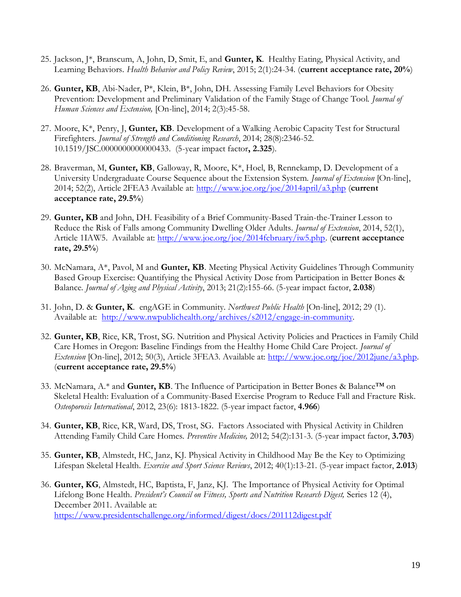- 25. Jackson, J\*, Branscum, A, John, D, Smit, E, and **Gunter, K**. Healthy Eating, Physical Activity, and Learning Behaviors. *Health Behavior and Policy Review*, 2015; 2(1):24-34. (**current acceptance rate, 20%**)
- 26. **Gunter, KB**, Abi-Nader, P\*, Klein, B\*, John, DH. Assessing Family Level Behaviors for Obesity Prevention: Development and Preliminary Validation of the Family Stage of Change Tool. *Journal of Human Sciences and Extension,* [On-line], 2014; 2(3):45-58.
- 27. Moore, K\*, Penry, J, **Gunter, KB**. Development of a Walking Aerobic Capacity Test for Structural Firefighters. *Journal of Strength and Conditioning Research*, 2014; 28(8):2346-52. 10.1519/JSC.0000000000000433. (5-year impact factor**, 2.325**).
- 28. Braverman, M, **Gunter, KB**, Galloway, R, Moore, K\*, Hoel, B, Rennekamp, D. Development of a University Undergraduate Course Sequence about the Extension System. *Journal of Extension* [On-line], 2014; 52(2), Article 2FEA3 Available at:<http://www.joe.org/joe/2014april/a3.php> (**current acceptance rate, 29.5%**)
- 29. **Gunter, KB** and John, DH. Feasibility of a Brief Community-Based Train-the-Trainer Lesson to Reduce the Risk of Falls among Community Dwelling Older Adults. *Journal of Extension*, 2014, 52(1), Article 1IAW5. Available at: [http://www.joe.org/joe/2014february/iw5.php.](http://www.joe.org/joe/2014february/iw5.php) (**current acceptance rate, 29.5%**)
- 30. McNamara, A\*, Pavol, M and **Gunter, KB**. Meeting Physical Activity Guidelines Through Community Based Group Exercise: Quantifying the Physical Activity Dose from Participation in Better Bones & Balance. *Journal of Aging and Physical Activity*, 2013; 21(2):155-66. (5-year impact factor, **2.038**)
- 31. John, D. & **Gunter, K**. engAGE in Community. *Northwest Public Health* [On-line], 2012; 29 (1). Available at: [http://www.nwpublichealth.org/archives/s2012/engage-in-community.](http://www.nwpublichealth.org/archives/s2012/engage-in-community)
- 32. **Gunter, KB**, Rice, KR, Trost, SG. Nutrition and Physical Activity Policies and Practices in Family Child Care Homes in Oregon: Baseline Findings from the Healthy Home Child Care Project. *Journal of Extension* [On-line], 2012; 50(3), Article 3FEA3. Available at: [http://www.joe.org/joe/2012june/a3.php.](http://www.joe.org/joe/2012june/a3.php) (**current acceptance rate, 29.5%**)
- 33. McNamara, A.\* and **Gunter, KB**. The Influence of Participation in Better Bones & Balance™ on Skeletal Health: Evaluation of a Community-Based Exercise Program to Reduce Fall and Fracture Risk. *Osteoporosis International*, 2012, 23(6): 1813-1822. (5-year impact factor, **4.966**)
- 34. **Gunter, KB**, Rice, KR, Ward, DS, Trost, SG. Factors Associated with Physical Activity in Children Attending Family Child Care Homes. *Preventive Medicine,* 2012; 54(2):131-3. (5-year impact factor, **3.703**)
- 35. **Gunter, KB**, Almstedt, HC, Janz, KJ. Physical Activity in Childhood May Be the Key to Optimizing Lifespan Skeletal Health. *Exercise and Sport Science Reviews*, 2012; 40(1):13-21. (5-year impact factor, **2.013**)
- 36. **Gunter, KG**, Almstedt, HC, Baptista, F, Janz, KJ. The Importance of Physical Activity for Optimal Lifelong Bone Health. *President's Council on Fitness, Sports and Nutrition Research Digest,* Series 12 (4), December 2011. Available at: <https://www.presidentschallenge.org/informed/digest/docs/201112digest.pdf>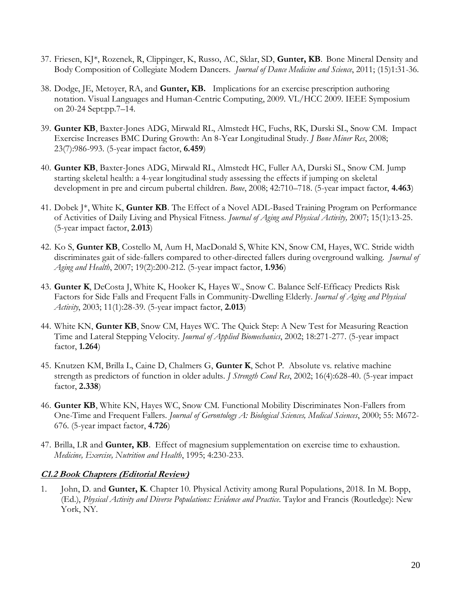- 37. Friesen, KJ\*, Rozenek, R, Clippinger, K, Russo, AC, Sklar, SD, **Gunter, KB**. Bone Mineral Density and Body Composition of Collegiate Modern Dancers. *Journal of Dance Medicine and Science*, 2011; (15)1:31-36.
- 38. Dodge, JE, Metoyer, RA, and **Gunter, KB.** Implications for an exercise prescription authoring notation. Visual Languages and Human-Centric Computing, 2009. VL/HCC 2009. IEEE Symposium on 20-24 Sept:pp.7–14.
- 39. **Gunter KB**, Baxter-Jones ADG, Mirwald RL, Almstedt HC, Fuchs, RK, Durski SL, Snow CM. Impact Exercise Increases BMC During Growth: An 8-Year Longitudinal Study. *J Bone Miner Res*, 2008; 23(7):986-993. (5-year impact factor, **6.459**)
- 40. **Gunter KB**, Baxter-Jones ADG, Mirwald RL, Almstedt HC, Fuller AA, Durski SL, Snow CM. Jump starting skeletal health: a 4-year longitudinal study assessing the effects if jumping on skeletal development in pre and circum pubertal children. *Bone*, 2008; 42:710–718. (5-year impact factor, **4.463**)
- 41. Dobek J\*, White K, **Gunter KB**. The Effect of a Novel ADL-Based Training Program on Performance of Activities of Daily Living and Physical Fitness. *Journal of Aging and Physical Activity,* 2007; 15(1):13-25. (5-year impact factor, **2.013**)
- 42. Ko S, **Gunter KB**, Costello M, Aum H, MacDonald S, White KN, Snow CM, Hayes, WC. Stride width discriminates gait of side-fallers compared to other-directed fallers during overground walking. *Journal of Aging and Health*, 2007; 19(2):200-212. (5-year impact factor, **1.936**)
- 43. **Gunter K**, DeCosta J, White K, Hooker K, Hayes W., Snow C. Balance Self-Efficacy Predicts Risk Factors for Side Falls and Frequent Falls in Community-Dwelling Elderly. *Journal of Aging and Physical Activity*, 2003; 11(1):28-39. (5-year impact factor, **2.013**)
- 44. White KN, **Gunter KB**, Snow CM, Hayes WC. The Quick Step: A New Test for Measuring Reaction Time and Lateral Stepping Velocity. *Journal of Applied Biomechanics*, 2002; 18:271-277. (5-year impact factor, **1.264**)
- 45. Knutzen KM, Brilla L, Caine D, Chalmers G, **Gunter K**, Schot P. Absolute vs. relative machine strength as predictors of function in older adults. *J Strength Cond Res*, 2002; 16(4):628-40. (5-year impact factor, **2.338**)
- 46. **Gunter KB**, White KN, Hayes WC, Snow CM. Functional Mobility Discriminates Non-Fallers from One-Time and Frequent Fallers. *Journal of Gerontology A: Biological Sciences, Medical Sciences*, 2000; 55: M672- 676. (5-year impact factor, **4.726**)
- 47. Brilla, LR and **Gunter, KB**. Effect of magnesium supplementation on exercise time to exhaustion. *Medicine, Exercise, Nutrition and Health*, 1995; 4:230-233.

#### **C1.2 Book Chapters (Editorial Review)**

1. John, D. and **Gunter, K**. Chapter 10. Physical Activity among Rural Populations, 2018. In M. Bopp, (Ed.), *Physical Activity and Diverse Populations: Evidence and Practice*. Taylor and Francis (Routledge): New York, NY.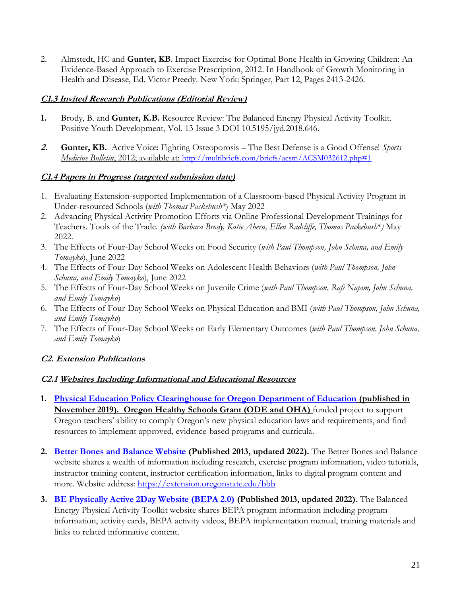2. Almstedt, HC and **Gunter, KB**. Impact Exercise for Optimal Bone Health in Growing Children: An Evidence-Based Approach to Exercise Prescription, 2012. In Handbook of Growth Monitoring in Health and Disease, Ed. Victor Preedy. New York: Springer, Part 12, Pages 2413-2426.

## **C1.3 Invited Research Publications (Editorial Review)**

- **1.** Brody, B. and **Gunter, K.B.** Resource Review: The Balanced Energy Physical Activity Toolkit. Positive Youth Development, Vol. 13 Issue 3 DOI 10.5195/jyd.2018.646.
- **2. Gunter, KB.** Active Voice: Fighting Osteoporosis The Best Defense is a Good Offense! *Sports Medicine Bulletin*, 2012; available at: <http://multibriefs.com/briefs/acsm/ACSM032612.php#1>

## **C1.4 Papers in Progress (targeted submission date)**

- 1. Evaluating Extension-supported Implementation of a Classroom-based Physical Activity Program in Under-resourced Schools (*with Thomas Packebush\**) May 2022
- 2. Advancing Physical Activity Promotion Efforts via Online Professional Development Trainings for Teachers. Tools of the Trade. *(with Barbara Brody, Katie Ahern, Ellen Radcliffe, Thomas Packebush\*)* May 2022.
- 3. The Effects of Four-Day School Weeks on Food Security (*with Paul Thompson, John Schuna, and Emily Tomayko*), June 2022
- 4. The Effects of Four-Day School Weeks on Adolescent Health Behaviors (*with Paul Thompson, John Schuna, and Emily Tomayko*), June 2022
- 5. The Effects of Four-Day School Weeks on Juvenile Crime (*with Paul Thompson, Rafi Najam, John Schuna, and Emily Tomayko*)
- 6. The Effects of Four-Day School Weeks on Physical Education and BMI (*with Paul Thompson, John Schuna, and Emily Tomayko*)
- 7. The Effects of Four-Day School Weeks on Early Elementary Outcomes (*with Paul Thompson, John Schuna, and Emily Tomayko*)

## **C2. Extension Publications**

## **C2.1 Websites Including Informational and Educational Resources**

- **1. Physical Education [Policy Clearinghouse for Oregon Department of Education](https://health.oregonstate.edu/hallie-ford/heal/policy/physical-education) (published in November 2019). Oregon Healthy Schools Grant (ODE and OHA)** funded project to support Oregon teachers' ability to comply Oregon's new physical education laws and requirements, and find resources to implement approved, evidence-based programs and curricula.
- **2. [Better Bones and Balance Website](https://extension.oregonstate.edu/bbb) (Published 2013, updated 2022).** The Better Bones and Balance website shares a wealth of information including research, exercise program information, video tutorials, instructor training content, instructor certification information, links to digital program content and more. Website address:<https://extension.oregonstate.edu/bbb>
- **3. [BE Physically Active 2Day Website \(BEPA 2.0\)](https://extension.oregonstate.edu/bepa) (Published 2013, updated 2022).** The Balanced Energy Physical Activity Toolkit website shares BEPA program information including program information, activity cards, BEPA activity videos, BEPA implementation manual, training materials and links to related informative content.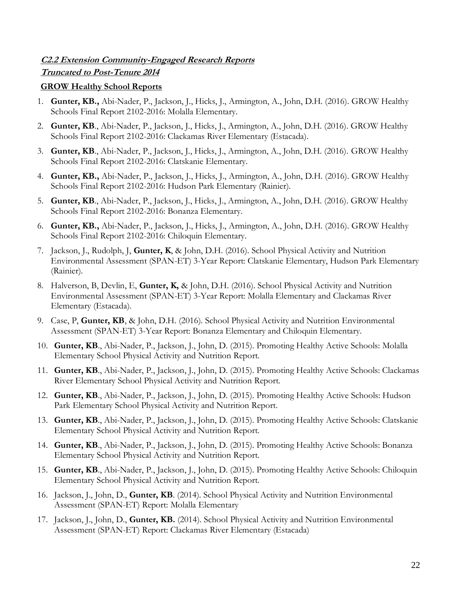## **C2.2 Extension Community-Engaged Research Reports Truncated to Post-Tenure 2014**

#### **GROW Healthy School Reports**

- 1. **Gunter, KB.,** Abi-Nader, P., Jackson, J., Hicks, J., Armington, A., John, D.H. (2016). GROW Healthy Schools Final Report 2102-2016: Molalla Elementary.
- 2. **Gunter, KB**., Abi-Nader, P., Jackson, J., Hicks, J., Armington, A., John, D.H. (2016). GROW Healthy Schools Final Report 2102-2016: Clackamas River Elementary (Estacada).
- 3. **Gunter, KB**., Abi-Nader, P., Jackson, J., Hicks, J., Armington, A., John, D.H. (2016). GROW Healthy Schools Final Report 2102-2016: Clatskanie Elementary.
- 4. **Gunter, KB.,** Abi-Nader, P., Jackson, J., Hicks, J., Armington, A., John, D.H. (2016). GROW Healthy Schools Final Report 2102-2016: Hudson Park Elementary (Rainier).
- 5. **Gunter, KB**., Abi-Nader, P., Jackson, J., Hicks, J., Armington, A., John, D.H. (2016). GROW Healthy Schools Final Report 2102-2016: Bonanza Elementary.
- 6. **Gunter, KB.,** Abi-Nader, P., Jackson, J., Hicks, J., Armington, A., John, D.H. (2016). GROW Healthy Schools Final Report 2102-2016: Chiloquin Elementary.
- 7. Jackson, J., Rudolph, J, **Gunter, K**, & John, D.H. (2016). School Physical Activity and Nutrition Environmental Assessment (SPAN-ET) 3-Year Report: Clatskanie Elementary, Hudson Park Elementary (Rainier).
- 8. Halverson, B, Devlin, E, **Gunter, K,** & John, D.H. (2016). School Physical Activity and Nutrition Environmental Assessment (SPAN-ET) 3-Year Report: Molalla Elementary and Clackamas River Elementary (Estacada).
- 9. Case, P, **Gunter, KB**, & John, D.H. (2016). School Physical Activity and Nutrition Environmental Assessment (SPAN-ET) 3-Year Report: Bonanza Elementary and Chiloquin Elementary.
- 10. **Gunter, KB**., Abi-Nader, P., Jackson, J., John, D. (2015). Promoting Healthy Active Schools: Molalla Elementary School Physical Activity and Nutrition Report.
- 11. **Gunter, KB**., Abi-Nader, P., Jackson, J., John, D. (2015). Promoting Healthy Active Schools: Clackamas River Elementary School Physical Activity and Nutrition Report.
- 12. **Gunter, KB**., Abi-Nader, P., Jackson, J., John, D. (2015). Promoting Healthy Active Schools: Hudson Park Elementary School Physical Activity and Nutrition Report.
- 13. **Gunter, KB**., Abi-Nader, P., Jackson, J., John, D. (2015). Promoting Healthy Active Schools: Clatskanie Elementary School Physical Activity and Nutrition Report.
- 14. **Gunter, KB**., Abi-Nader, P., Jackson, J., John, D. (2015). Promoting Healthy Active Schools: Bonanza Elementary School Physical Activity and Nutrition Report.
- 15. **Gunter, KB**., Abi-Nader, P., Jackson, J., John, D. (2015). Promoting Healthy Active Schools: Chiloquin Elementary School Physical Activity and Nutrition Report.
- 16. Jackson, J., John, D., **Gunter, KB**. (2014). School Physical Activity and Nutrition Environmental Assessment (SPAN-ET) Report: Molalla Elementary
- 17. Jackson, J., John, D., **Gunter, KB.** (2014). School Physical Activity and Nutrition Environmental Assessment (SPAN-ET) Report: Clackamas River Elementary (Estacada)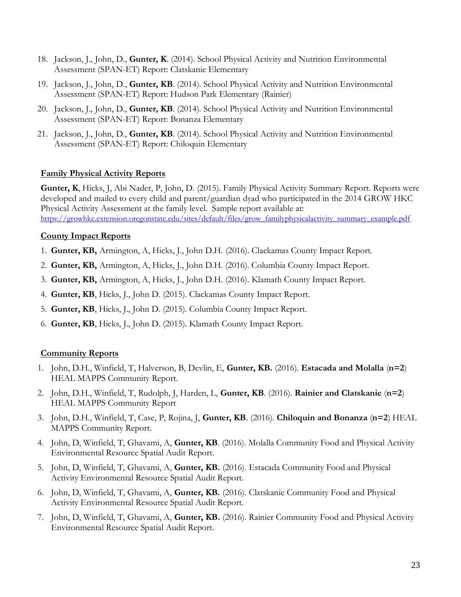- 18. Jackson, J., John, D., **Gunter, K**. (2014). School Physical Activity and Nutrition Environmental Assessment (SPAN-ET) Report: Clatskanie Elementary
- 19. Jackson, J., John, D., **Gunter, KB**. (2014). School Physical Activity and Nutrition Environmental Assessment (SPAN-ET) Report: Hudson Park Elementary (Rainier)
- 20. Jackson, J., John, D., **Gunter, KB**. (2014). School Physical Activity and Nutrition Environmental Assessment (SPAN-ET) Report: Bonanza Elementary
- 21. Jackson, J., John, D., **Gunter, KB**. (2014). School Physical Activity and Nutrition Environmental Assessment (SPAN-ET) Report: Chiloquin Elementary

#### **Family Physical Activity Reports**

**Gunter, K**, Hicks, J, Abi Nader, P, John, D. (2015). Family Physical Activity Summary Report. Reports were developed and mailed to every child and parent/guardian dyad who participated in the 2014 GROW HKC Physical Activity Assessment at the family level. Sample report available at: [https://growhkc.extension.oregonstate.edu/sites/default/files/grow\\_familyphysicalactivity\\_summary\\_example.pdf](https://growhkc.extension.oregonstate.edu/sites/default/files/grow_familyphysicalactivity_summary_example.pdf)

#### **County Impact Reports**

- 1. **Gunter, KB,** Armington, A, Hicks, J., John D.H. (2016). Clackamas County Impact Report.
- 2. **Gunter, KB,** Armington, A, Hicks, J., John D.H. (2016). Columbia County Impact Report.
- 3. **Gunter, KB,** Armington, A, Hicks, J., John D.H. (2016). Klamath County Impact Report.
- 4. **Gunter, KB**, Hicks, J., John D. (2015). Clackamas County Impact Report.
- 5. **Gunter, KB**, Hicks, J., John D. (2015). Columbia County Impact Report.
- 6. **Gunter, KB**, Hicks, J., John D. (2015). Klamath County Impact Report.

#### **Community Reports**

- 1. John, D.H., Winfield, T, Halverson, B, Devlin, E, **Gunter, KB.** (2016). **Estacada and Molalla** (**n=2**) HEAL MAPPS Community Report.
- 2. John, D.H., Winfield, T, Rudolph, J, Harden, L, **Gunter, KB**. (2016). **Rainier and Clatskanie** (**n=2**) HEAL MAPPS Community Report
- 3. John, D.H., Winfield, T, Case, P, Rojina, J, **Gunter, KB**. (2016). **Chiloquin and Bonanza** (**n=2**) HEAL MAPPS Community Report.
- 4. John, D, Winfield, T, Ghavami, A, **Gunter, KB**. (2016). Molalla Community Food and Physical Activity Environmental Resource Spatial Audit Report.
- 5. John, D, Winfield, T, Ghavami, A, **Gunter, KB.** (2016). Estacada Community Food and Physical Activity Environmental Resource Spatial Audit Report.
- 6. John, D, Winfield, T, Ghavami, A, **Gunter, KB.** (2016). Clatskanie Community Food and Physical Activity Environmental Resource Spatial Audit Report.
- 7. John, D, Winfield, T, Ghavami, A, **Gunter, KB.** (2016). Rainier Community Food and Physical Activity Environmental Resource Spatial Audit Report.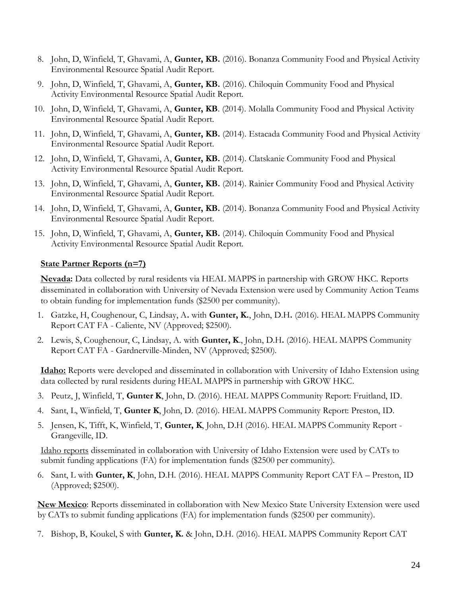- 8. John, D, Winfield, T, Ghavami, A, **Gunter, KB.** (2016). Bonanza Community Food and Physical Activity Environmental Resource Spatial Audit Report.
- 9. John, D, Winfield, T, Ghavami, A, **Gunter, KB.** (2016). Chiloquin Community Food and Physical Activity Environmental Resource Spatial Audit Report.
- 10. John, D, Winfield, T, Ghavami, A, **Gunter, KB**. (2014). Molalla Community Food and Physical Activity Environmental Resource Spatial Audit Report.
- 11. John, D, Winfield, T, Ghavami, A, **Gunter, KB.** (2014). Estacada Community Food and Physical Activity Environmental Resource Spatial Audit Report.
- 12. John, D, Winfield, T, Ghavami, A, **Gunter, KB.** (2014). Clatskanie Community Food and Physical Activity Environmental Resource Spatial Audit Report.
- 13. John, D, Winfield, T, Ghavami, A, **Gunter, KB.** (2014). Rainier Community Food and Physical Activity Environmental Resource Spatial Audit Report.
- 14. John, D, Winfield, T, Ghavami, A, **Gunter, KB.** (2014). Bonanza Community Food and Physical Activity Environmental Resource Spatial Audit Report.
- 15. John, D, Winfield, T, Ghavami, A, **Gunter, KB.** (2014). Chiloquin Community Food and Physical Activity Environmental Resource Spatial Audit Report.

#### **State Partner Reports (n=7)**

**Nevada:** Data collected by rural residents via HEAL MAPPS in partnership with GROW HKC. Reports disseminated in collaboration with University of Nevada Extension were used by Community Action Teams to obtain funding for implementation funds (\$2500 per community).

- 1. Gatzke, H, Coughenour, C, Lindsay, A**.** with **Gunter, K.**, John, D.H**.** (2016). HEAL MAPPS Community Report CAT FA - Caliente, NV (Approved; \$2500).
- 2. Lewis, S, Coughenour, C, Lindsay, A. with **Gunter, K**., John, D.H**.** (2016). HEAL MAPPS Community Report CAT FA - Gardnerville-Minden, NV (Approved; \$2500).

**Idaho:** Reports were developed and disseminated in collaboration with University of Idaho Extension using data collected by rural residents during HEAL MAPPS in partnership with GROW HKC.

- 3. Peutz, J, Winfield, T, **Gunter K**, John, D. (2016). HEAL MAPPS Community Report: Fruitland, ID.
- 4. Sant, L, Winfield, T, **Gunter K**, John, D. (2016). HEAL MAPPS Community Report: Preston, ID.
- 5. Jensen, K, Tifft, K, Winfield, T, **Gunter, K**, John, D.H (2016). HEAL MAPPS Community Report Grangeville, ID.

Idaho reports disseminated in collaboration with University of Idaho Extension were used by CATs to submit funding applications (FA) for implementation funds (\$2500 per community).

6. Sant, L with **Gunter, K**, John, D.H. (2016). HEAL MAPPS Community Report CAT FA – Preston, ID (Approved; \$2500).

**New Mexico**: Reports disseminated in collaboration with New Mexico State University Extension were used by CATs to submit funding applications (FA) for implementation funds (\$2500 per community).

7. Bishop, B, Koukel, S with **Gunter, K.** & John, D.H. (2016). HEAL MAPPS Community Report CAT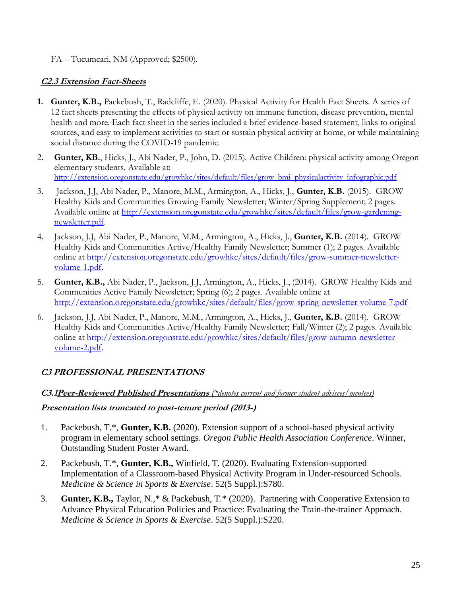## FA – Tucumcari, NM (Approved; \$2500).

## **C2.3 Extension Fact-Sheets**

- **1. Gunter, K.B.,** Packebush, T., Radcliffe, E. (2020). Physical Activity for Health Fact Sheets. A series of 12 fact sheets presenting the effects of physical activity on immune function, disease prevention, mental health and more. Each fact sheet in the series included a brief evidence-based statement, links to original sources, and easy to implement activities to start or sustain physical activity at home, or while maintaining social distance during the COVID-19 pandemic.
- 2. **Gunter, KB.**, Hicks, J., Abi Nader, P., John, D. (2015). Active Children: physical activity among Oregon elementary students. Available at: [http://extension.oregonstate.edu/growhkc/sites/default/files/grow\\_bmi\\_physicalactivity\\_infographic.pdf](http://extension.oregonstate.edu/growhkc/sites/default/files/grow_bmi_physicalactivity_infographic.pdf)
- 3. Jackson, J.J, Abi Nader, P., Manore, M.M., Armington, A., Hicks, J., **Gunter, K.B.** (2015). GROW Healthy Kids and Communities Growing Family Newsletter; Winter/Spring Supplement; 2 pages. Available online at [http://extension.oregonstate.edu/growhkc/sites/default/files/grow-gardening](http://extension.oregonstate.edu/growhkc/sites/default/files/grow-gardening-newsletter.pdf)[newsletter.pdf.](http://extension.oregonstate.edu/growhkc/sites/default/files/grow-gardening-newsletter.pdf)
- 4. Jackson, J.J, Abi Nader, P., Manore, M.M., Armington, A., Hicks, J., **Gunter, K.B.** (2014). GROW Healthy Kids and Communities Active/Healthy Family Newsletter; Summer (1); 2 pages. Available online at [http://extension.oregonstate.edu/growhkc/sites/default/files/grow-summer-newsletter](http://extension.oregonstate.edu/growhkc/sites/default/files/grow-summer-newsletter-volume-1.pdf)[volume-1.pdf.](http://extension.oregonstate.edu/growhkc/sites/default/files/grow-summer-newsletter-volume-1.pdf)
- 5. **Gunter, K.B.,** Abi Nader, P., Jackson, J.J, Armington, A., Hicks, J., (2014). GROW Healthy Kids and Communities Active Family Newsletter; Spring (6); 2 pages. Available online at <http://extension.oregonstate.edu/growhkc/sites/default/files/grow-spring-newsletter-volume-7.pdf>
- 6. Jackson, J.J, Abi Nader, P., Manore, M.M., Armington, A., Hicks, J., **Gunter, K.B.** (2014). GROW Healthy Kids and Communities Active/Healthy Family Newsletter; Fall/Winter (2); 2 pages. Available online at [http://extension.oregonstate.edu/growhkc/sites/default/files/grow-autumn-newsletter](http://extension.oregonstate.edu/growhkc/sites/default/files/grow-autumn-newsletter-volume-2.pdf)[volume-2.pdf.](http://extension.oregonstate.edu/growhkc/sites/default/files/grow-autumn-newsletter-volume-2.pdf)

## **C3 PROFESSIONAL PRESENTATIONS**

## **C3.1Peer-Reviewed Published Presentations** *(\*denotes current and former student advisees/mentees)*

## **Presentation lists truncated to post-tenure period (2013-)**

- 1. Packebush, T.\*, **Gunter, K.B.** (2020). Extension support of a school-based physical activity program in elementary school settings. *Oregon Public Health Association Conference*. Winner, Outstanding Student Poster Award.
- 2. Packebush, T.\*, **Gunter, K.B.,** Winfield, T. (2020). Evaluating Extension-supported Implementation of a Classroom-based Physical Activity Program in Under-resourced Schools. *Medicine & Science in Sports & Exercise*. 52(5 Suppl.):S780.
- 3. **Gunter, K.B.,** Taylor, N.,\* & Packebush, T.\* (2020). Partnering with Cooperative Extension to Advance Physical Education Policies and Practice: Evaluating the Train-the-trainer Approach. *Medicine & Science in Sports & Exercise*. 52(5 Suppl.):S220.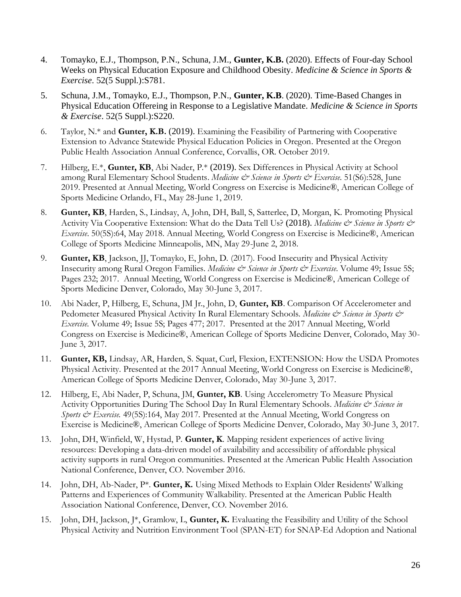- 4. Tomayko, E.J., Thompson, P.N., Schuna, J.M., **Gunter, K.B.** (2020). Effects of Four-day School Weeks on Physical Education Exposure and Childhood Obesity. *Medicine & Science in Sports & Exercise*. 52(5 Suppl.):S781.
- 5. Schuna, J.M., Tomayko, E.J., Thompson, P.N., **Gunter, K.B**. (2020). Time-Based Changes in Physical Education Offereing in Response to a Legislative Mandate. *Medicine & Science in Sports & Exercise*. 52(5 Suppl.):S220.
- 6. Taylor, N.\* and **Gunter, K.B.** (2019). Examining the Feasibility of Partnering with Cooperative Extension to Advance Statewide Physical Education Policies in Oregon. Presented at the Oregon Public Health Association Annual Conference, Corvallis, OR. October 2019.
- 7. Hilberg, E.\*, **Gunter, KB**, Abi Nader, P.\* (2019). Sex Differences in Physical Activity at School among Rural Elementary School Students. *Medicine & Science in Sports & Exercise*. 51(S6):528, June 2019. Presented at Annual Meeting, World Congress on Exercise is Medicine®, American College of Sports Medicine Orlando, FL, May 28-June 1, 2019.
- 8. **Gunter, KB**, Harden, S., Lindsay, A, John, DH, Ball, S, Satterlee, D, Morgan, K. Promoting Physical Activity Via Cooperative Extension: What do the Data Tell Us? (2018). *Medicine & Science in Sports & Exercise*. 50(5S):64, May 2018. Annual Meeting, World Congress on Exercise is Medicine®, American College of Sports Medicine Minneapolis, MN, May 29-June 2, 2018.
- 9. **Gunter, KB**, Jackson, JJ, Tomayko, E, John, D. (2017). Food Insecurity and Physical Activity Insecurity among Rural Oregon Families. *Medicine & Science in Sports & Exercise*. Volume 49; Issue 5S; Pages 232; 2017. Annual Meeting, World Congress on Exercise is Medicine®, American College of Sports Medicine Denver, Colorado, May 30-June 3, 2017.
- 10. Abi Nader, P, Hilberg, E, Schuna, JM Jr., John, D, **Gunter, KB**. Comparison Of Accelerometer and Pedometer Measured Physical Activity In Rural Elementary Schools. *Medicine & Science in Sports & Exercise.* Volume 49; Issue 5S; Pages 477; 2017. Presented at the 2017 Annual Meeting, World Congress on Exercise is Medicine®, American College of Sports Medicine Denver, Colorado, May 30- June 3, 2017.
- 11. **Gunter, KB,** Lindsay, AR, Harden, S. Squat, Curl, Flexion, EXTENSION: How the USDA Promotes Physical Activity. Presented at the 2017 Annual Meeting, World Congress on Exercise is Medicine®, American College of Sports Medicine Denver, Colorado, May 30-June 3, 2017.
- 12. Hilberg, E, Abi Nader, P, Schuna, JM, **Gunter, KB**. Using Accelerometry To Measure Physical Activity Opportunities During The School Day In Rural Elementary Schools. *Medicine & Science in Sports & Exercise.* 49(5S):164, May 2017. Presented at the Annual Meeting, World Congress on Exercise is Medicine®, American College of Sports Medicine Denver, Colorado, May 30-June 3, 2017.
- 13. John, DH, Winfield, W, Hystad, P. **Gunter, K**. Mapping resident experiences of active living resources: Developing a data-driven model of availability and accessibility of affordable physical activity supports in rural Oregon communities. Presented at the American Public Health Association National Conference, Denver, CO. November 2016.
- 14. John, DH, Ab-Nader, P\*. **Gunter, K.** Using Mixed Methods to Explain Older Residents' Walking Patterns and Experiences of Community Walkability. Presented at the American Public Health Association National Conference, Denver, CO. November 2016.
- 15. John, DH, Jackson, J\*, Gramlow, L, **Gunter, K.** Evaluating the Feasibility and Utility of the School Physical Activity and Nutrition Environment Tool (SPAN-ET) for SNAP-Ed Adoption and National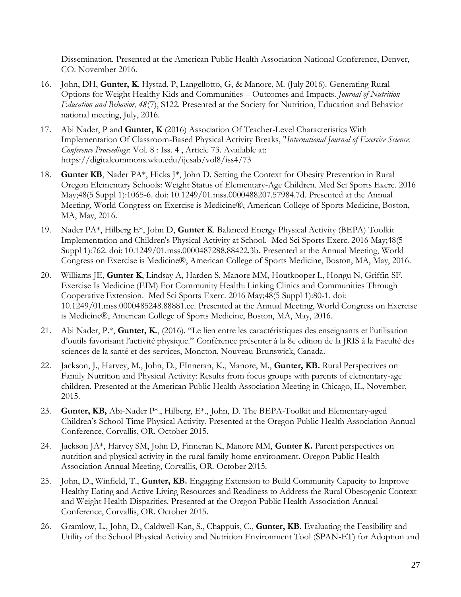Dissemination. Presented at the American Public Health Association National Conference, Denver, CO. November 2016.

- 16. John, DH, **Gunter, K**, Hystad, P, Langellotto, G, & Manore, M. (July 2016). Generating Rural Options for Weight Healthy Kids and Communities – Outcomes and Impacts. *Journal of Nutrition Education and Behavior, 48*(7), S122. Presented at the Society for Nutrition, Education and Behavior national meeting, July, 2016.
- 17. Abi Nader, P and **Gunter, K** (2016) Association Of Teacher-Level Characteristics With Implementation Of Classroom-Based Physical Activity Breaks, "*International Journal of Exercise Science: Conference Proceedings*: Vol. 8 : Iss. 4 , Article 73. Available at: https://digitalcommons.wku.edu/ijesab/vol8/iss4/73
- 18. **Gunter KB**, Nader PA<sup>\*</sup>, Hicks J<sup>\*</sup>, John D. Setting the Context for Obesity Prevention in Rural Oregon Elementary Schools: Weight Status of Elementary-Age Children. Med Sci Sports Exerc. 2016 May;48(5 Suppl 1):1065-6. doi: 10.1249/01.mss.0000488207.57984.7d. Presented at the Annual Meeting, World Congress on Exercise is Medicine®, American College of Sports Medicine, Boston, MA, May, 2016.
- 19. Nader PA\*, Hilberg E\*, John D, **Gunter K**. Balanced Energy Physical Activity (BEPA) Toolkit Implementation and Children's Physical Activity at School. Med Sci Sports Exerc. 2016 May;48(5 Suppl 1):762. doi: 10.1249/01.mss.0000487288.88422.3b. Presented at the Annual Meeting, World Congress on Exercise is Medicine®, American College of Sports Medicine, Boston, MA, May, 2016.
- 20. Williams JE, **Gunter K**, Lindsay A, Harden S, Manore MM, Houtkooper L, Hongu N, Griffin SF. Exercise Is Medicine (EIM) For Community Health: Linking Clinics and Communities Through Cooperative Extension. Med Sci Sports Exerc. 2016 May;48(5 Suppl 1):80-1. doi: 10.1249/01.mss.0000485248.88881.cc. Presented at the Annual Meeting, World Congress on Exercise is Medicine®, American College of Sports Medicine, Boston, MA, May, 2016.
- 21. Abi Nader, P.\*, **Gunter, K.**, (2016). "Le lien entre les caractéristiques des enseignants et l'utilisation d'outils favorisant l'activité physique." Conférence présenter à la 8e edition de la JRIS à la Faculté des sciences de la santé et des services, Moncton, Nouveau-Brunswick, Canada.
- 22. Jackson, J., Harvey, M., John, D., FInneran, K., Manore, M., **Gunter, KB.** Rural Perspectives on Family Nutrition and Physical Activity: Results from focus groups with parents of elementary-age children. Presented at the American Public Health Association Meeting in Chicago, IL, November, 2015.
- 23. **Gunter, KB,** Abi-Nader P\*., Hilberg, E\*., John, D. The BEPA-Toolkit and Elementary-aged Children's School-Time Physical Activity. Presented at the Oregon Public Health Association Annual Conference, Corvallis, OR. October 2015.
- 24. Jackson JA\*, Harvey SM, John D, Finneran K, Manore MM, **Gunter K.** Parent perspectives on nutrition and physical activity in the rural family-home environment. Oregon Public Health Association Annual Meeting, Corvallis, OR. October 2015.
- 25. John, D., Winfield, T., **Gunter, KB.** Engaging Extension to Build Community Capacity to Improve Healthy Eating and Active Living Resources and Readiness to Address the Rural Obesogenic Context and Weight Health Disparities. Presented at the Oregon Public Health Association Annual Conference, Corvallis, OR. October 2015.
- 26. Gramlow, L., John, D., Caldwell-Kan, S., Chappuis, C., **Gunter, KB.** Evaluating the Feasibility and Utility of the School Physical Activity and Nutrition Environment Tool (SPAN-ET) for Adoption and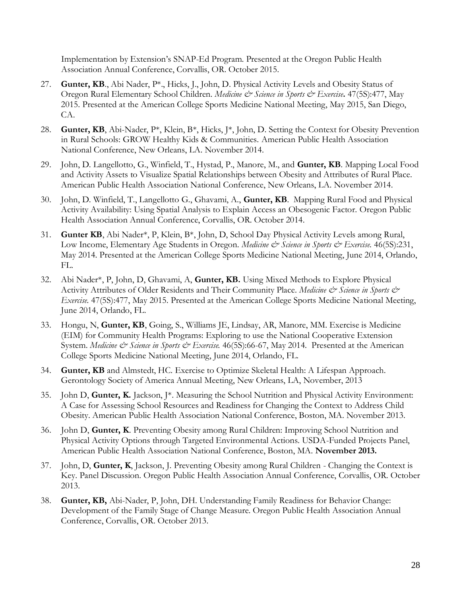Implementation by Extension's SNAP-Ed Program. Presented at the Oregon Public Health Association Annual Conference, Corvallis, OR. October 2015.

- 27. **Gunter, KB**., Abi Nader, P\*., Hicks, J., John, D. Physical Activity Levels and Obesity Status of Oregon Rural Elementary School Children. *Medicine & Science in Sports & Exercise***.** 47(5S):477, May 2015. Presented at the American College Sports Medicine National Meeting, May 2015, San Diego, CA.
- 28. **Gunter, KB**, Abi-Nader, P\*, Klein, B\*, Hicks, J\*, John, D. Setting the Context for Obesity Prevention in Rural Schools: GROW Healthy Kids & Communities. American Public Health Association National Conference, New Orleans, LA. November 2014.
- 29. John, D. Langellotto, G., Winfield, T., Hystad, P., Manore, M., and **Gunter, KB**. Mapping Local Food and Activity Assets to Visualize Spatial Relationships between Obesity and Attributes of Rural Place. American Public Health Association National Conference, New Orleans, LA. November 2014.
- 30. John, D. Winfield, T., Langellotto G., Ghavami, A., **Gunter, KB**. Mapping Rural Food and Physical Activity Availability: Using Spatial Analysis to Explain Access an Obesogenic Factor. Oregon Public Health Association Annual Conference, Corvallis, OR. October 2014.
- 31. **Gunter KB**, Abi Nader\*, P, Klein, B\*, John, D, School Day Physical Activity Levels among Rural, Low Income, Elementary Age Students in Oregon. *Medicine & Science in Sports & Exercise*. 46(5S):231, May 2014. Presented at the American College Sports Medicine National Meeting, June 2014, Orlando, FL.
- 32. Abi Nader\*, P, John, D, Ghavami, A, **Gunter, KB.** Using Mixed Methods to Explore Physical Activity Attributes of Older Residents and Their Community Place. *Medicine & Science in Sports & Exercise.* 47(5S):477, May 2015. Presented at the American College Sports Medicine National Meeting, June 2014, Orlando, FL.
- 33. Hongu, N, **Gunter, KB**, Going, S., Williams JE, Lindsay, AR, Manore, MM. Exercise is Medicine (EIM) for Community Health Programs: Exploring to use the National Cooperative Extension System. *Medicine & Science in Sports & Exercise*. 46(5S):66-67, May 2014. Presented at the American College Sports Medicine National Meeting, June 2014, Orlando, FL.
- 34. **Gunter, KB** and Almstedt, HC. Exercise to Optimize Skeletal Health: A Lifespan Approach. Gerontology Society of America Annual Meeting, New Orleans, LA, November, 2013
- 35. John D, **Gunter, K.** Jackson, J\*. Measuring the School Nutrition and Physical Activity Environment: A Case for Assessing School Resources and Readiness for Changing the Context to Address Child Obesity. American Public Health Association National Conference, Boston, MA. November 2013.
- 36. John D, **Gunter, K**. Preventing Obesity among Rural Children: Improving School Nutrition and Physical Activity Options through Targeted Environmental Actions. USDA-Funded Projects Panel, American Public Health Association National Conference, Boston, MA. **November 2013.**
- 37. John, D, **Gunter, K**, Jackson, J. Preventing Obesity among Rural Children Changing the Context is Key. Panel Discussion. Oregon Public Health Association Annual Conference, Corvallis, OR. October 2013.
- 38. **Gunter, KB,** Abi-Nader, P, John, DH. Understanding Family Readiness for Behavior Change: Development of the Family Stage of Change Measure. Oregon Public Health Association Annual Conference, Corvallis, OR. October 2013.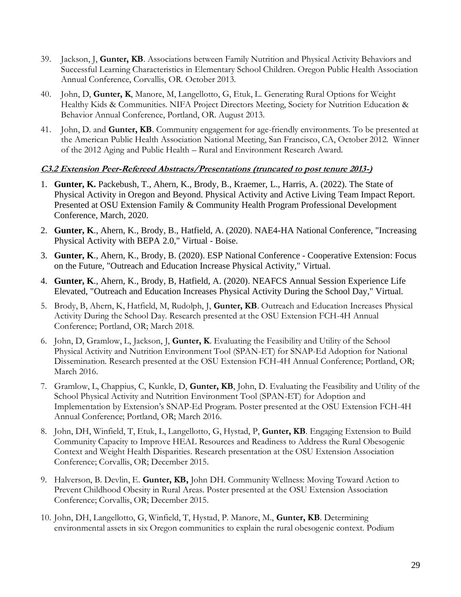- 39. Jackson, J, **Gunter, KB**. Associations between Family Nutrition and Physical Activity Behaviors and Successful Learning Characteristics in Elementary School Children. Oregon Public Health Association Annual Conference, Corvallis, OR. October 2013.
- 40. John, D, **Gunter, K**, Manore, M, Langellotto, G, Etuk, L. Generating Rural Options for Weight Healthy Kids & Communities. NIFA Project Directors Meeting, Society for Nutrition Education & Behavior Annual Conference, Portland, OR. August 2013.
- 41. John, D. and **Gunter, KB**. Community engagement for age-friendly environments. To be presented at the American Public Health Association National Meeting, San Francisco, CA, October 2012. Winner of the 2012 Aging and Public Health – Rural and Environment Research Award.

#### **C3.2 Extension Peer-Refereed Abstracts/Presentations (truncated to post tenure 2013-)**

- 1. **Gunter, K.** Packebush, T., Ahern, K., Brody, B., Kraemer, L., Harris, A. (2022). The State of Physical Activity in Oregon and Beyond. Physical Activity and Active Living Team Impact Report. Presented at OSU Extension Family & Community Health Program Professional Development Conference, March, 2020.
- 2. **Gunter, K**., Ahern, K., Brody, B., Hatfield, A. (2020). NAE4-HA National Conference, "Increasing Physical Activity with BEPA 2.0," Virtual - Boise.
- 3. **Gunter, K**., Ahern, K., Brody, B. (2020). ESP National Conference Cooperative Extension: Focus on the Future, "Outreach and Education Increase Physical Activity," Virtual.
- 4. **Gunter, K**., Ahern, K., Brody, B, Hatfield, A. (2020). NEAFCS Annual Session Experience Life Elevated, "Outreach and Education Increases Physical Activity During the School Day," Virtual.
- 5. Brody, B, Ahern, K, Hatfield, M, Rudolph, J, **Gunter, KB**. Outreach and Education Increases Physical Activity During the School Day. Research presented at the OSU Extension FCH-4H Annual Conference; Portland, OR; March 2018.
- 6. John, D, Gramlow, L, Jackson, J, **Gunter, K**. Evaluating the Feasibility and Utility of the School Physical Activity and Nutrition Environment Tool (SPAN-ET) for SNAP-Ed Adoption for National Dissemination. Research presented at the OSU Extension FCH-4H Annual Conference; Portland, OR; March 2016.
- 7. Gramlow, L, Chappius, C, Kunkle, D, **Gunter, KB**, John, D. Evaluating the Feasibility and Utility of the School Physical Activity and Nutrition Environment Tool (SPAN-ET) for Adoption and Implementation by Extension's SNAP-Ed Program. Poster presented at the OSU Extension FCH-4H Annual Conference; Portland, OR; March 2016.
- 8. John, DH, Winfield, T, Etuk, L, Langellotto, G, Hystad, P, **Gunter, KB**. Engaging Extension to Build Community Capacity to Improve HEAL Resources and Readiness to Address the Rural Obesogenic Context and Weight Health Disparities. Research presentation at the OSU Extension Association Conference; Corvallis, OR; December 2015.
- 9. Halverson, B. Devlin, E. **Gunter, KB,** John DH. Community Wellness: Moving Toward Action to Prevent Childhood Obesity in Rural Areas. Poster presented at the OSU Extension Association Conference; Corvallis, OR; December 2015.
- 10. John, DH, Langellotto, G, Winfield, T, Hystad, P. Manore, M., **Gunter, KB**. Determining environmental assets in six Oregon communities to explain the rural obesogenic context. Podium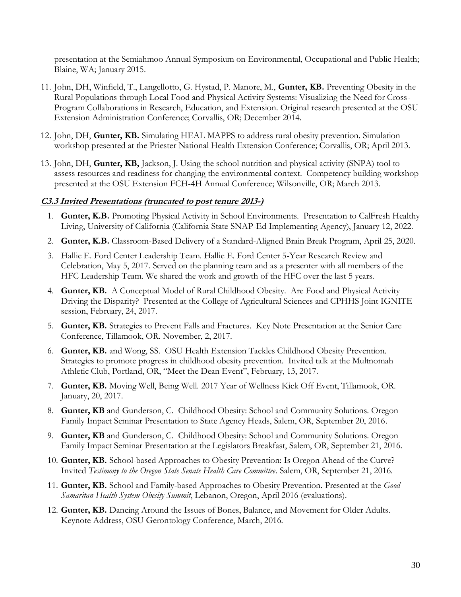presentation at the Semiahmoo Annual Symposium on Environmental, Occupational and Public Health; Blaine, WA; January 2015.

- 11. John, DH, Winfield, T., Langellotto, G. Hystad, P. Manore, M., **Gunter, KB.** Preventing Obesity in the Rural Populations through Local Food and Physical Activity Systems: Visualizing the Need for Cross-Program Collaborations in Research, Education, and Extension. Original research presented at the OSU Extension Administration Conference; Corvallis, OR; December 2014.
- 12. John, DH, **Gunter, KB.** Simulating HEAL MAPPS to address rural obesity prevention. Simulation workshop presented at the Priester National Health Extension Conference; Corvallis, OR; April 2013.
- 13. John, DH, **Gunter, KB,** Jackson, J. Using the school nutrition and physical activity (SNPA) tool to assess resources and readiness for changing the environmental context. Competency building workshop presented at the OSU Extension FCH-4H Annual Conference; Wilsonville, OR; March 2013.

#### **C3.3 Invited Presentations (truncated to post tenure 2013-)**

- 1. **Gunter, K.B.** Promoting Physical Activity in School Environments. Presentation to CalFresh Healthy Living, University of California (California State SNAP-Ed Implementing Agency), January 12, 2022.
- 2. **Gunter, K.B.** Classroom-Based Delivery of a Standard-Aligned Brain Break Program, April 25, 2020.
- 3. Hallie E. Ford Center Leadership Team. Hallie E. Ford Center 5-Year Research Review and Celebration, May 5, 2017. Served on the planning team and as a presenter with all members of the HFC Leadership Team. We shared the work and growth of the HFC over the last 5 years.
- 4. **Gunter, KB.** A Conceptual Model of Rural Childhood Obesity. Are Food and Physical Activity Driving the Disparity? Presented at the College of Agricultural Sciences and CPHHS Joint IGNITE session, February, 24, 2017.
- 5. **Gunter, KB.** Strategies to Prevent Falls and Fractures. Key Note Presentation at the Senior Care Conference, Tillamook, OR. November, 2, 2017.
- 6. **Gunter, KB.** and Wong, SS. OSU Health Extension Tackles Childhood Obesity Prevention. Strategies to promote progress in childhood obesity prevention. Invited talk at the Multnomah Athletic Club, Portland, OR, "Meet the Dean Event", February, 13, 2017.
- 7. **Gunter, KB.** Moving Well, Being Well. 2017 Year of Wellness Kick Off Event, Tillamook, OR. January, 20, 2017.
- 8. **Gunter, KB** and Gunderson, C. Childhood Obesity: School and Community Solutions. Oregon Family Impact Seminar Presentation to State Agency Heads, Salem, OR, September 20, 2016.
- 9. **Gunter, KB** and Gunderson, C. Childhood Obesity: School and Community Solutions. Oregon Family Impact Seminar Presentation at the Legislators Breakfast, Salem, OR, September 21, 2016.
- 10. **Gunter, KB.** School-based Approaches to Obesity Prevention: Is Oregon Ahead of the Curve? Invited *Testimony to the Oregon State Senate Health Care Committee*. Salem, OR, September 21, 2016.
- 11. **Gunter, KB.** School and Family-based Approaches to Obesity Prevention. Presented at the *Good Samaritan Health System Obesity Summit*, Lebanon, Oregon, April 2016 (evaluations).
- 12. **Gunter, KB.** Dancing Around the Issues of Bones, Balance, and Movement for Older Adults. Keynote Address, OSU Gerontology Conference, March, 2016.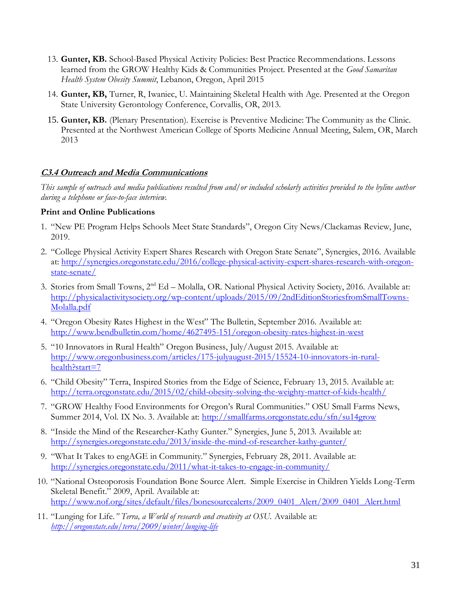- 13. **Gunter, KB.** School-Based Physical Activity Policies: Best Practice Recommendations. Lessons learned from the GROW Healthy Kids & Communities Project. Presented at the *Good Samaritan Health System Obesity Summit*, Lebanon, Oregon, April 2015
- 14. **Gunter, KB,** Turner, R, Iwaniec, U. Maintaining Skeletal Health with Age. Presented at the Oregon State University Gerontology Conference, Corvallis, OR, 2013.
- 15. **Gunter, KB.** (Plenary Presentation). Exercise is Preventive Medicine: The Community as the Clinic. Presented at the Northwest American College of Sports Medicine Annual Meeting, Salem, OR, March 2013

## **C3.4 Outreach and Media Communications**

*This sample of outreach and media publications resulted from and/or included scholarly activities provided to the byline author during a telephone or face-to-face interview.*

## **Print and Online Publications**

- 1. "New PE Program Helps Schools Meet State Standards", Oregon City News/Clackamas Review, June, 2019.
- 2. "College Physical Activity Expert Shares Research with Oregon State Senate", Synergies, 2016. Available at: [http://synergies.oregonstate.edu/2016/college-physical-activity-expert-shares-research-with-oregon](http://synergies.oregonstate.edu/2016/college-physical-activity-expert-shares-research-with-oregon-state-senate/)[state-senate/](http://synergies.oregonstate.edu/2016/college-physical-activity-expert-shares-research-with-oregon-state-senate/)
- 3. Stories from Small Towns, 2nd Ed Molalla, OR. National Physical Activity Society, 2016. Available at: [http://physicalactivitysociety.org/wp-content/uploads/2015/09/2ndEditionStoriesfromSmallTowns-](http://physicalactivitysociety.org/wp-content/uploads/2015/09/2ndEditionStoriesfromSmallTowns-Molalla.pdf)[Molalla.pdf](http://physicalactivitysociety.org/wp-content/uploads/2015/09/2ndEditionStoriesfromSmallTowns-Molalla.pdf)
- 4. "Oregon Obesity Rates Highest in the West" The Bulletin, September 2016. Available at: <http://www.bendbulletin.com/home/4627495-151/oregon-obesity-rates-highest-in-west>
- 5. "10 Innovators in Rural Health" Oregon Business, July/August 2015. Available at: [http://www.oregonbusiness.com/articles/175-julyaugust-2015/15524-10-innovators-in-rural](http://www.oregonbusiness.com/articles/175-julyaugust-2015/15524-10-innovators-in-rural-health?start=7)[health?start=7](http://www.oregonbusiness.com/articles/175-julyaugust-2015/15524-10-innovators-in-rural-health?start=7)
- 6. "Child Obesity" Terra, Inspired Stories from the Edge of Science, February 13, 2015. Available at: <http://terra.oregonstate.edu/2015/02/child-obesity-solving-the-weighty-matter-of-kids-health/>
- 7. "GROW Healthy Food Environments for Oregon's Rural Communities." OSU Small Farms News, Summer 2014, Vol. IX No. 3. Available at:<http://smallfarms.oregonstate.edu/sfn/su14grow>
- 8. "Inside the Mind of the Researcher-Kathy Gunter." Synergies, June 5, 2013. Available at: <http://synergies.oregonstate.edu/2013/inside-the-mind-of-researcher-kathy-gunter/>
- 9. "What It Takes to engAGE in Community." Synergies, February 28, 2011. Available at: <http://synergies.oregonstate.edu/2011/what-it-takes-to-engage-in-community/>
- 10. "National Osteoporosis Foundation Bone Source Alert. Simple Exercise in Children Yields Long-Term Skeletal Benefit." 2009, April. Available at: [http://www.nof.org/sites/default/files/bonesourcealerts/2009\\_0401\\_Alert/2009\\_0401\\_Alert.html](http://www.nof.org/sites/default/files/bonesourcealerts/2009_0401_Alert/2009_0401_Alert.html)
- 11. "Lunging for Life*." Terra, a World of research and creativity at OSU.* Available at: *<http://oregonstate.edu/terra/2009/winter/lunging-life>*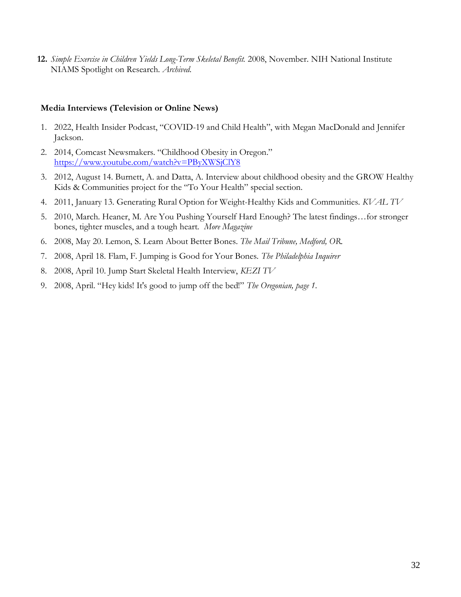**12.** *Simple Exercise in Children Yields Long-Term Skeletal Benefit.* 2008, November. NIH National Institute NIAMS Spotlight on Research. *Archived.*

#### **Media Interviews (Television or Online News)**

- 1. 2022, Health Insider Podcast, "COVID-19 and Child Health", with Megan MacDonald and Jennifer Jackson.
- 2. 2014, Comcast Newsmakers. "Childhood Obesity in Oregon." <https://www.youtube.com/watch?v=PByXWSjClY8>
- 3. 2012, August 14. Burnett, A. and Datta, A. Interview about childhood obesity and the GROW Healthy Kids & Communities project for the "To Your Health" special section.
- 4. 2011, January 13. Generating Rural Option for Weight-Healthy Kids and Communities. *KVAL TV*
- 5. 2010, March. Heaner, M. Are You Pushing Yourself Hard Enough? The latest findings…for stronger bones, tighter muscles, and a tough heart. *More Magazine*
- 6. 2008, May 20. Lemon, S. Learn About Better Bones. *The Mail Tribune, Medford, OR.*
- 7. 2008, April 18. Flam, F. Jumping is Good for Your Bones. *The Philadelphia Inquirer*
- 8. 2008, April 10. Jump Start Skeletal Health Interview, *KEZI TV*
- 9. 2008, April. "Hey kids! It's good to jump off the bed!" *The Oregonian, page 1.*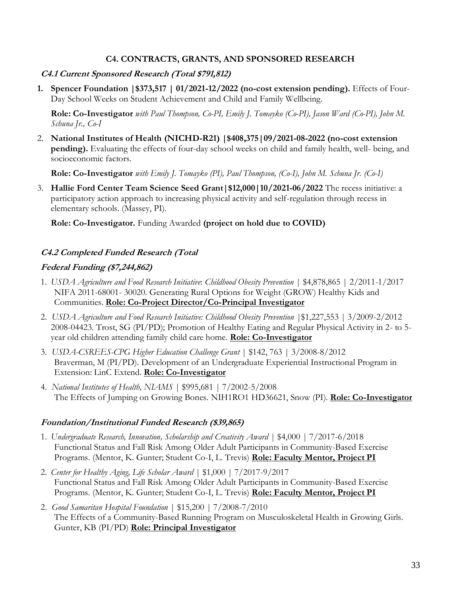#### **C4. CONTRACTS, GRANTS, AND SPONSORED RESEARCH**

#### **C4.1 Current Sponsored Research (Total \$791,812)**

**1. Spencer Foundation |\$373,517 | 01/2021-12/2022 (no-cost extension pending).** Effects of Four-Day School Weeks on Student Achievement and Child and Family Wellbeing.

**Role: Co-Investigator** *with Paul Thompson, Co-PI, Emily J. Tomayko (Co-PI), Jason Ward (Co-PI), John M. Schuna Jr., Co-I*

2. **National Institutes of Health (NICHD-R21) |\$408,375|09/2021-08-2022 (no-cost extension pending).** Evaluating the effects of four-day school weeks on child and family health, well- being, and socioeconomic factors.

**Role: Co-Investigator** *with Emily J. Tomayko (PI), Paul Thompson, (Co-I), John M. Schuna Jr. (Co-I)*

3. **Hallie Ford Center Team Science Seed Grant|\$12,000|10/2021-06/2022** The recess initiative: a participatory action approach to increasing physical activity and self-regulation through recess in elementary schools. (Massey, PI).

**Role: Co-Investigator.** Funding Awarded **(project on hold due to COVID)**

## **C4.2 Completed Funded Research (Total**

## **Federal Funding (\$7,244,862)**

- 1. *USDA Agriculture and Food Research Initiative*: *Childhood Obesity Prevention* | \$4,878,865 | 2/2011-1/2017 NIFA 2011-68001- 30020. Generating Rural Options for Weight (GROW) Healthy Kids and Communities. **Role: Co-Project Director/Co-Principal Investigator**
- 2. *USDA Agriculture and Food Research Initiative: Childhood Obesity Prevention* |\$1,227,553 | 3/2009-2/2012 2008-04423. Trost, SG (PI/PD); Promotion of Healthy Eating and Regular Physical Activity in 2- to 5 year old children attending family child care home. **Role: Co-Investigator**
- 3. *USDA-CSREES-CPG Higher Education Challenge Grant* | \$142, 763 | 3/2008-8/2012 Braverman, M (PI/PD). Development of an Undergraduate Experiential Instructional Program in Extension: LinC Extend. **Role: Co-Investigator**
- 4. *National Institutes of Health, NIAMS* | \$995,681 | 7/2002-5/2008 The Effects of Jumping on Growing Bones. NIH1RO1 HD36621, Snow (PI). **Role: Co-Investigator**

#### **Foundation/Institutional Funded Research (\$39,865)**

- 1. *Undergraduate Research, Innovation, Scholarship and Creativity Award* | \$4,000 | 7/2017-6/2018 Functional Status and Fall Risk Among Older Adult Participants in Community-Based Exercise Programs. (Mentor, K. Gunter; Student Co-I, L. Trevis) **Role: Faculty Mentor, Project PI**
- 2. *Center for Healthy Aging, Life Scholar Award* | \$1,000 | 7/2017-9/2017 Functional Status and Fall Risk Among Older Adult Participants in Community-Based Exercise Programs. (Mentor, K. Gunter; Student Co-I, L. Trevis) **Role: Faculty Mentor, Project PI**
- 2. *Good Samaritan Hospital Foundation* | \$15,200 | 7/2008-7/2010 The Effects of a Community-Based Running Program on Musculoskeletal Health in Growing Girls. Gunter, KB (PI/PD) **Role: Principal Investigator**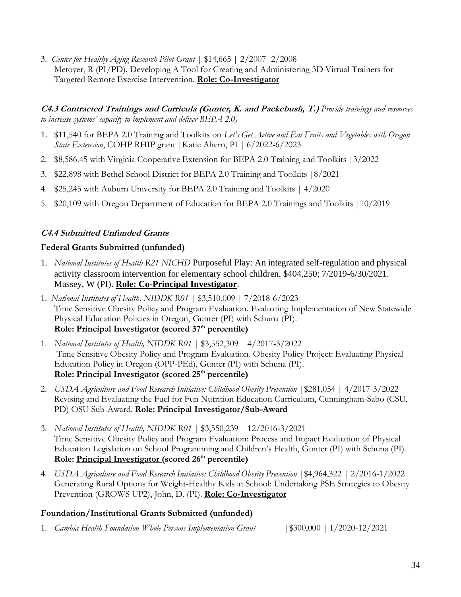3. *Center for Healthy Aging Research Pilot Grant* | \$14,665 | 2/2007- 2/2008 Metoyer, R (PI/PD). Developing A Tool for Creating and Administering 3D Virtual Trainers for Targeted Remote Exercise Intervention. **Role: Co-Investigator**

**C4.3 Contracted Trainings and Curricula (Gunter, K. and Packebush, T.)** *Provide trainings and resources to increase systems' capacity to implement and deliver BEPA 2.0)*

- 1. \$11,540 for BEPA 2.0 Training and Toolkits on *Let's Get Active and Eat Fruits and Vegetables with Oregon State Extension*, COHP RHIP grant |Katie Ahern, PI | 6/2022-6/2023
- 2. \$8,586.45 with Virginia Cooperative Extension for BEPA 2.0 Training and Toolkits |3/2022
- 3. \$22,898 with Bethel School District for BEPA 2.0 Training and Toolkits |8/2021
- 4. \$25,245 with Auburn University for BEPA 2.0 Training and Toolkits | 4/2020
- 5. \$20,109 with Oregon Department of Education for BEPA 2.0 Trainings and Toolkits |10/2019

## **C4.4 Submitted Unfunded Grants**

#### **Federal Grants Submitted (unfunded)**

- 1. *National Institutes of Health R21 NICHD* Purposeful Play: An integrated self-regulation and physical activity classroom intervention for elementary school children. \$404,250; 7/2019-6/30/2021. Massey, W (PI). **Role: Co-Principal Investigator**.
- 1. *National Institutes of Health, NIDDK R01* | \$3,510,009 | 7/2018-6/2023 Time Sensitive Obesity Policy and Program Evaluation. Evaluating Implementation of New Statewide Physical Education Policies in Oregon, Gunter (PI) with Schuna (PI). **Role: Principal Investigator (scored 37 th percentile)**
- 1. *National Institutes of Health, NIDDK R01* | \$3,552,309 | 4/2017-3/2022 Time Sensitive Obesity Policy and Program Evaluation. Obesity Policy Project: Evaluating Physical Education Policy in Oregon (OPP-PEd), Gunter (PI) with Schuna (PI). **Role: Principal Investigator (scored 25 th percentile)**
- 2. *USDA Agriculture and Food Research Initiative: Childhood Obesity Prevention* |\$281,054 | 4/2017-3/2022 Revising and Evaluating the Fuel for Fun Nutrition Education Curriculum, Cunningham-Sabo (CSU, PD) OSU Sub-Award. **Role: Principal Investigator/Sub-Award**
- 3. *National Institutes of Health, NIDDK R01* | \$3,550,239 | 12/2016-3/2021 Time Sensitive Obesity Policy and Program Evaluation: Process and Impact Evaluation of Physical Education Legislation on School Programming and Children's Health, Gunter (PI) with Schuna (PI). **Role: Principal Investigator (scored 26 th percentile)**
- 4. *USDA Agriculture and Food Research Initiative: Childhood Obesity Prevention* |\$4,964,322 | 2/2016-1/2022 Generating Rural Options for Weight-Healthy Kids at School: Undertaking PSE Strategies to Obesity Prevention (GROWS UP2), John, D. (PI). **Role: Co-Investigator**

#### **Foundation/Institutional Grants Submitted (unfunded)**

1. *Cambia Health Foundation Whole Persons Implementation Grant* |\$300,000 | 1/2020-12/2021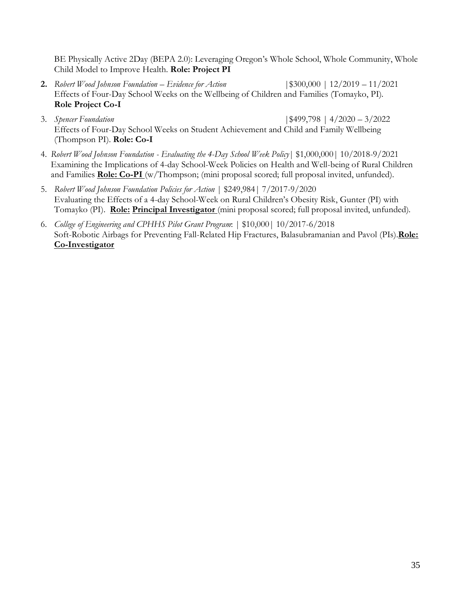BE Physically Active 2Day (BEPA 2.0): Leveraging Oregon's Whole School, Whole Community, Whole Child Model to Improve Health. **Role: Project PI**

- **2.** *Robert Wood Johnson Foundation – Evidence for Action* |\$300,000 | 12/2019 11/2021 Effects of Four-Day School Weeks on the Wellbeing of Children and Families (Tomayko, PI). **Role Project Co-I**
- 3. *Spencer Foundation* |\$499,798 | 4/2020 3/2022 Effects of Four-Day School Weeks on Student Achievement and Child and Family Wellbeing (Thompson PI). **Role: Co-I**
- 4. *Robert Wood Johnson Foundation - Evaluating the 4-Day School Week Policy*| \$1,000,000| 10/2018-9/2021 Examining the Implications of 4-day School-Week Policies on Health and Well-being of Rural Children and Families **Role: Co-PI** (w/Thompson; (mini proposal scored; full proposal invited, unfunded).
- 5. *Robert Wood Johnson Foundation Policies for Action* | \$249,984| 7/2017-9/2020 Evaluating the Effects of a 4-day School-Week on Rural Children's Obesity Risk, Gunter (PI) with Tomayko (PI). **Role: Principal Investigator** (mini proposal scored; full proposal invited, unfunded).
- 6. *College of Engineering and CPHHS Pilot Grant Program*: | \$10,000| 10/2017-6/2018 Soft-Robotic Airbags for Preventing Fall-Related Hip Fractures, Balasubramanian and Pavol (PIs).**Role: Co-Investigator**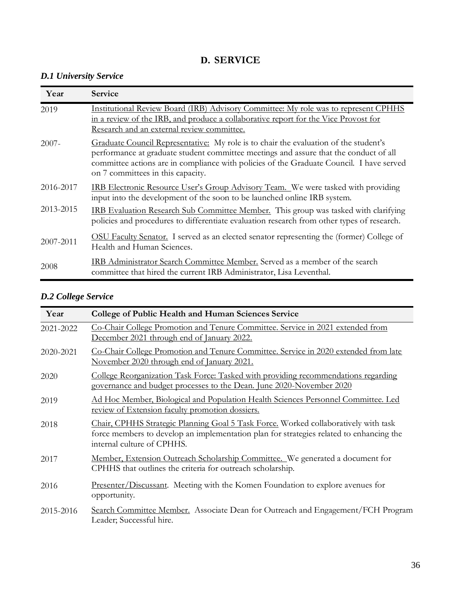## **D. SERVICE**

## *D.1 University Service*

| Year      | <b>Service</b>                                                                                                                                                                                                                                                                                                 |
|-----------|----------------------------------------------------------------------------------------------------------------------------------------------------------------------------------------------------------------------------------------------------------------------------------------------------------------|
| 2019      | Institutional Review Board (IRB) Advisory Committee: My role was to represent CPHHS<br>in a review of the IRB, and produce a collaborative report for the Vice Provost for<br>Research and an external review committee.                                                                                       |
| $2007 -$  | Graduate Council Representative: My role is to chair the evaluation of the student's<br>performance at graduate student committee meetings and assure that the conduct of all<br>committee actions are in compliance with policies of the Graduate Council. I have served<br>on 7 committees in this capacity. |
| 2016-2017 | <b>IRB</b> Electronic Resource User's Group Advisory Team. We were tasked with providing<br>input into the development of the soon to be launched online IRB system.                                                                                                                                           |
| 2013-2015 | IRB Evaluation Research Sub Committee Member. This group was tasked with clarifying<br>policies and procedures to differentiate evaluation research from other types of research.                                                                                                                              |
| 2007-2011 | <b>OSU Faculty Senator.</b> I served as an elected senator representing the (former) College of<br>Health and Human Sciences.                                                                                                                                                                                  |
| 2008      | IRB Administrator Search Committee Member. Served as a member of the search<br>committee that hired the current IRB Administrator, Lisa Leventhal.                                                                                                                                                             |

## *D.2 College Service*

| Year      | <b>College of Public Health and Human Sciences Service</b>                                                                                                                                                   |
|-----------|--------------------------------------------------------------------------------------------------------------------------------------------------------------------------------------------------------------|
| 2021-2022 | Co-Chair College Promotion and Tenure Committee. Service in 2021 extended from<br>December 2021 through end of January 2022.                                                                                 |
| 2020-2021 | <u>Co-Chair College Promotion and Tenure Committee. Service in 2020 extended from late</u><br>November 2020 through end of January 2021.                                                                     |
| 2020      | <u>College Reorganization Task Force: Tasked with providing recommendations regarding</u><br>governance and budget processes to the Dean. June 2020-November 2020                                            |
| 2019      | <u>Ad Hoc Member, Biological and Population Health Sciences Personnel Committee. Led</u><br>review of Extension faculty promotion dossiers.                                                                  |
| 2018      | Chair, CPHHS Strategic Planning Goal 5 Task Force. Worked collaboratively with task<br>force members to develop an implementation plan for strategies related to enhancing the<br>internal culture of CPHHS. |
| 2017      | <u>Member, Extension Outreach Scholarship Committee.</u> We generated a document for<br>CPHHS that outlines the criteria for outreach scholarship.                                                           |
| 2016      | Presenter/Discussant. Meeting with the Komen Foundation to explore avenues for<br>opportunity.                                                                                                               |
| 2015-2016 | Search Committee Member. Associate Dean for Outreach and Engagement/FCH Program<br>Leader; Successful hire.                                                                                                  |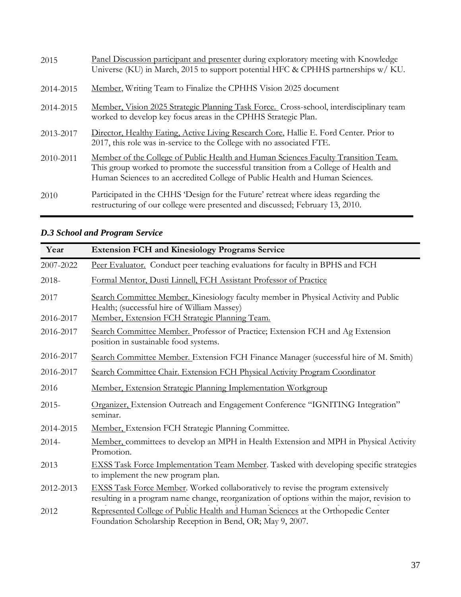| 2015      | Panel Discussion participant and presenter during exploratory meeting with Knowledge<br>Universe (KU) in March, 2015 to support potential HFC & CPHHS partnerships w/ KU.                                                                                 |
|-----------|-----------------------------------------------------------------------------------------------------------------------------------------------------------------------------------------------------------------------------------------------------------|
| 2014-2015 | Member, Writing Team to Finalize the CPHHS Vision 2025 document                                                                                                                                                                                           |
| 2014-2015 | Member, Vision 2025 Strategic Planning Task Force. Cross-school, interdisciplinary team<br>worked to develop key focus areas in the CPHHS Strategic Plan.                                                                                                 |
| 2013-2017 | Director, Healthy Eating, Active Living Research Core, Hallie E. Ford Center. Prior to<br>2017, this role was in-service to the College with no associated FTE.                                                                                           |
| 2010-2011 | Member of the College of Public Health and Human Sciences Faculty Transition Team.<br>This group worked to promote the successful transition from a College of Health and<br>Human Sciences to an accredited College of Public Health and Human Sciences. |
| 2010      | Participated in the CHHS 'Design for the Future' retreat where ideas regarding the<br>restructuring of our college were presented and discussed; February 13, 2010.                                                                                       |

| Year      | <b>Extension FCH and Kinesiology Programs Service</b>                                                                                                                                  |
|-----------|----------------------------------------------------------------------------------------------------------------------------------------------------------------------------------------|
| 2007-2022 | Peer Evaluator. Conduct peer teaching evaluations for faculty in BPHS and FCH                                                                                                          |
| 2018-     | Formal Mentor, Dusti Linnell, FCH Assistant Professor of Practice                                                                                                                      |
| 2017      | Search Committee Member. Kinesiology faculty member in Physical Activity and Public<br>Health; (successful hire of William Massey)                                                     |
| 2016-2017 | Member, Extension FCH Strategic Planning Team.                                                                                                                                         |
| 2016-2017 | Search Committee Member. Professor of Practice; Extension FCH and Ag Extension<br>position in sustainable food systems.                                                                |
| 2016-2017 | Search Committee Member. Extension FCH Finance Manager (successful hire of M. Smith)                                                                                                   |
| 2016-2017 | Search Committee Chair. Extension FCH Physical Activity Program Coordinator                                                                                                            |
| 2016      | Member, Extension Strategic Planning Implementation Workgroup                                                                                                                          |
| $2015 -$  | Organizer, Extension Outreach and Engagement Conference "IGNITING Integration"<br>seminar.                                                                                             |
| 2014-2015 | Member, Extension FCH Strategic Planning Committee.                                                                                                                                    |
| $2014 -$  | Member, committees to develop an MPH in Health Extension and MPH in Physical Activity<br>Promotion.                                                                                    |
| 2013      | <b>EXSS Task Force Implementation Team Member.</b> Tasked with developing specific strategies<br>to implement the new program plan.                                                    |
| 2012-2013 | <b>EXSS Task Force Member.</b> Worked collaboratively to revise the program extensively<br>resulting in a program name change, reorganization of options within the major, revision to |
| 2012      | Represented College of Public Health and Human Sciences at the Orthopedic Center<br>Foundation Scholarship Reception in Bend, OR; May 9, 2007.                                         |

# *D.3 School and Program Service*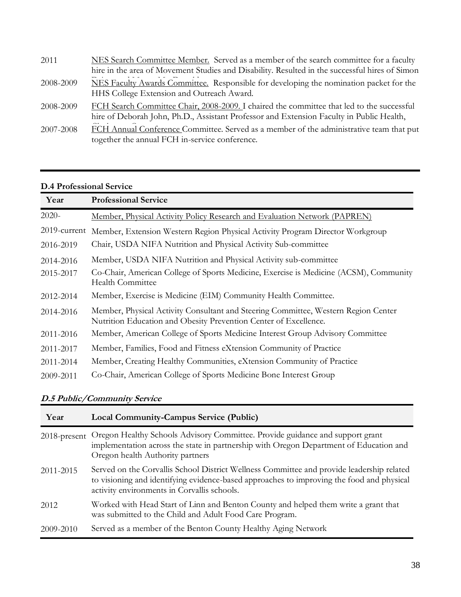| 2011      | NES Search Committee Member. Served as a member of the search committee for a faculty<br>hire in the area of Movement Studies and Disability. Resulted in the successful hires of Simon |
|-----------|-----------------------------------------------------------------------------------------------------------------------------------------------------------------------------------------|
| 2008-2009 | NES Faculty Awards Committee. Responsible for developing the nomination packet for the<br>HHS College Extension and Outreach Award.                                                     |
| 2008-2009 | FCH Search Committee Chair, 2008-2009. I chaired the committee that led to the successful<br>hire of Deborah John, Ph.D., Assistant Professor and Extension Faculty in Public Health,   |
| 2007-2008 | FCH Annual Conference Committee. Served as a member of the administrative team that put<br>together the annual FCH in-service conference.                                               |

## **D.4 Professional Service**

| Year      | <b>Professional Service</b>                                                                                                                            |
|-----------|--------------------------------------------------------------------------------------------------------------------------------------------------------|
| $2020-$   | Member, Physical Activity Policy Research and Evaluation Network (PAPREN)                                                                              |
|           | 2019-current Member, Extension Western Region Physical Activity Program Director Workgroup                                                             |
| 2016-2019 | Chair, USDA NIFA Nutrition and Physical Activity Sub-committee                                                                                         |
| 2014-2016 | Member, USDA NIFA Nutrition and Physical Activity sub-committee                                                                                        |
| 2015-2017 | Co-Chair, American College of Sports Medicine, Exercise is Medicine (ACSM), Community<br>Health Committee                                              |
| 2012-2014 | Member, Exercise is Medicine (EIM) Community Health Committee.                                                                                         |
| 2014-2016 | Member, Physical Activity Consultant and Steering Committee, Western Region Center<br>Nutrition Education and Obesity Prevention Center of Excellence. |
| 2011-2016 | Member, American College of Sports Medicine Interest Group Advisory Committee                                                                          |
| 2011-2017 | Member, Families, Food and Fitness eXtension Community of Practice                                                                                     |
| 2011-2014 | Member, Creating Healthy Communities, eXtension Community of Practice                                                                                  |
| 2009-2011 | Co-Chair, American College of Sports Medicine Bone Interest Group                                                                                      |

## **D.5 Public/Community Service**

| Year            | <b>Local Community-Campus Service (Public)</b>                                                                                                                                                                                        |
|-----------------|---------------------------------------------------------------------------------------------------------------------------------------------------------------------------------------------------------------------------------------|
| $2018$ -present | Oregon Healthy Schools Advisory Committee. Provide guidance and support grant<br>implementation across the state in partnership with Oregon Department of Education and<br>Oregon health Authority partners                           |
| 2011-2015       | Served on the Corvallis School District Wellness Committee and provide leadership related<br>to visioning and identifying evidence-based approaches to improving the food and physical<br>activity environments in Corvallis schools. |
| 2012            | Worked with Head Start of Linn and Benton County and helped them write a grant that<br>was submitted to the Child and Adult Food Care Program.                                                                                        |
| 2009-2010       | Served as a member of the Benton County Healthy Aging Network                                                                                                                                                                         |